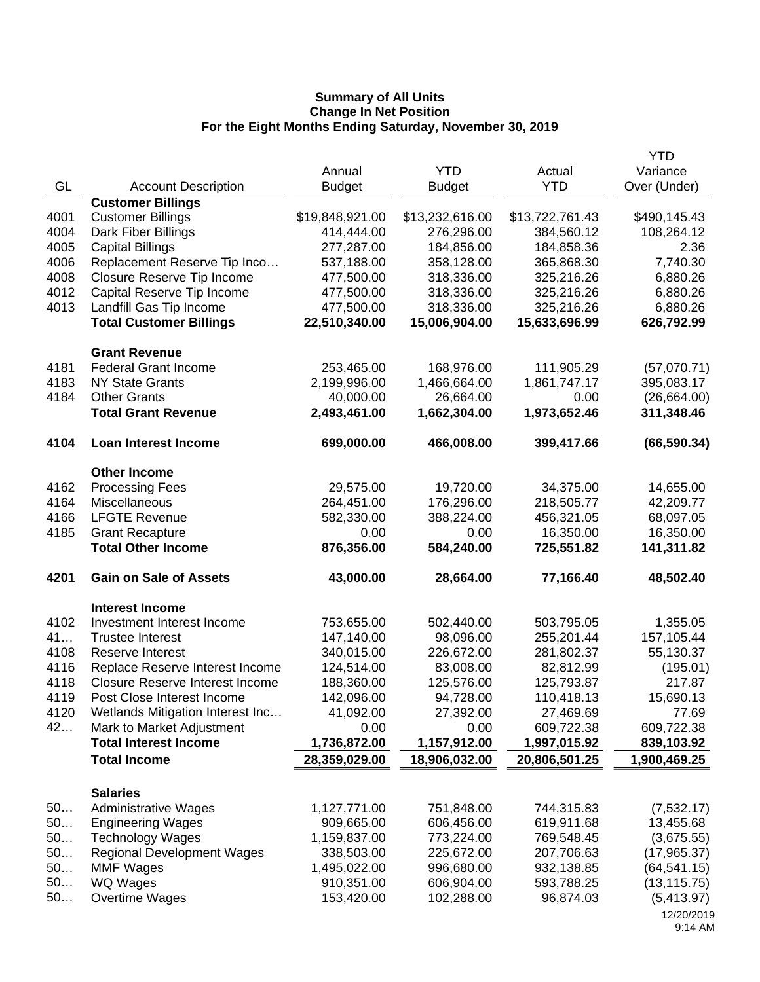|      |                                        |                 |                 |                 | <b>YTD</b>            |
|------|----------------------------------------|-----------------|-----------------|-----------------|-----------------------|
|      |                                        | Annual          | <b>YTD</b>      | Actual          | Variance              |
| GL   | <b>Account Description</b>             | <b>Budget</b>   | <b>Budget</b>   | <b>YTD</b>      | Over (Under)          |
|      | <b>Customer Billings</b>               |                 |                 |                 |                       |
| 4001 | <b>Customer Billings</b>               | \$19,848,921.00 | \$13,232,616.00 | \$13,722,761.43 | \$490,145.43          |
| 4004 | Dark Fiber Billings                    | 414,444.00      | 276,296.00      | 384,560.12      | 108,264.12            |
| 4005 | <b>Capital Billings</b>                | 277,287.00      | 184,856.00      | 184,858.36      | 2.36                  |
| 4006 | Replacement Reserve Tip Inco           | 537,188.00      | 358,128.00      | 365,868.30      | 7,740.30              |
| 4008 | Closure Reserve Tip Income             | 477,500.00      | 318,336.00      | 325,216.26      | 6,880.26              |
| 4012 | Capital Reserve Tip Income             | 477,500.00      | 318,336.00      | 325,216.26      | 6,880.26              |
| 4013 | Landfill Gas Tip Income                | 477,500.00      | 318,336.00      | 325,216.26      | 6,880.26              |
|      | <b>Total Customer Billings</b>         | 22,510,340.00   | 15,006,904.00   | 15,633,696.99   | 626,792.99            |
|      | <b>Grant Revenue</b>                   |                 |                 |                 |                       |
| 4181 | <b>Federal Grant Income</b>            | 253,465.00      | 168,976.00      | 111,905.29      | (57,070.71)           |
| 4183 | <b>NY State Grants</b>                 | 2,199,996.00    | 1,466,664.00    | 1,861,747.17    | 395,083.17            |
| 4184 | <b>Other Grants</b>                    | 40,000.00       | 26,664.00       | 0.00            | (26,664.00)           |
|      | <b>Total Grant Revenue</b>             | 2,493,461.00    | 1,662,304.00    | 1,973,652.46    | 311,348.46            |
| 4104 | <b>Loan Interest Income</b>            | 699,000.00      | 466,008.00      | 399,417.66      | (66, 590.34)          |
|      | <b>Other Income</b>                    |                 |                 |                 |                       |
| 4162 | <b>Processing Fees</b>                 | 29,575.00       | 19,720.00       | 34,375.00       | 14,655.00             |
| 4164 | Miscellaneous                          | 264,451.00      | 176,296.00      | 218,505.77      | 42,209.77             |
| 4166 | <b>LFGTE Revenue</b>                   | 582,330.00      | 388,224.00      | 456,321.05      | 68,097.05             |
| 4185 | <b>Grant Recapture</b>                 | 0.00            | 0.00            | 16,350.00       | 16,350.00             |
|      | <b>Total Other Income</b>              | 876,356.00      | 584,240.00      | 725,551.82      | 141,311.82            |
| 4201 | <b>Gain on Sale of Assets</b>          | 43,000.00       | 28,664.00       | 77,166.40       | 48,502.40             |
|      |                                        |                 |                 |                 |                       |
|      | <b>Interest Income</b>                 |                 |                 |                 |                       |
| 4102 | Investment Interest Income             | 753,655.00      | 502,440.00      | 503,795.05      | 1,355.05              |
| 41   | <b>Trustee Interest</b>                | 147,140.00      | 98,096.00       | 255,201.44      | 157,105.44            |
| 4108 | Reserve Interest                       | 340,015.00      | 226,672.00      | 281,802.37      | 55,130.37             |
| 4116 | Replace Reserve Interest Income        | 124,514.00      | 83,008.00       | 82,812.99       | (195.01)              |
| 4118 | <b>Closure Reserve Interest Income</b> | 188,360.00      | 125,576.00      | 125,793.87      | 217.87                |
| 4119 | Post Close Interest Income             | 142,096.00      | 94,728.00       | 110,418.13      | 15,690.13             |
| 4120 | Wetlands Mitigation Interest Inc       | 41,092.00       | 27,392.00       | 27,469.69       | 77.69                 |
| 42   | Mark to Market Adjustment              | 0.00            | 0.00            | 609,722.38      | 609,722.38            |
|      | <b>Total Interest Income</b>           | 1,736,872.00    | 1,157,912.00    | 1,997,015.92    | 839,103.92            |
|      | <b>Total Income</b>                    | 28,359,029.00   | 18,906,032.00   | 20,806,501.25   | 1,900,469.25          |
|      | <b>Salaries</b>                        |                 |                 |                 |                       |
| 50   | <b>Administrative Wages</b>            | 1,127,771.00    | 751,848.00      | 744,315.83      | (7,532.17)            |
| 50   | <b>Engineering Wages</b>               | 909,665.00      | 606,456.00      | 619,911.68      | 13,455.68             |
| 50   | <b>Technology Wages</b>                | 1,159,837.00    | 773,224.00      | 769,548.45      | (3,675.55)            |
| 50   | <b>Regional Development Wages</b>      | 338,503.00      | 225,672.00      | 207,706.63      | (17, 965.37)          |
| 50   | <b>MMF Wages</b>                       | 1,495,022.00    | 996,680.00      | 932,138.85      | (64, 541.15)          |
| 50   | WQ Wages                               | 910,351.00      | 606,904.00      | 593,788.25      | (13, 115.75)          |
| 50   | Overtime Wages                         | 153,420.00      | 102,288.00      | 96,874.03       | (5,413.97)            |
|      |                                        |                 |                 |                 | 12/20/2019<br>9:14 AM |
|      |                                        |                 |                 |                 |                       |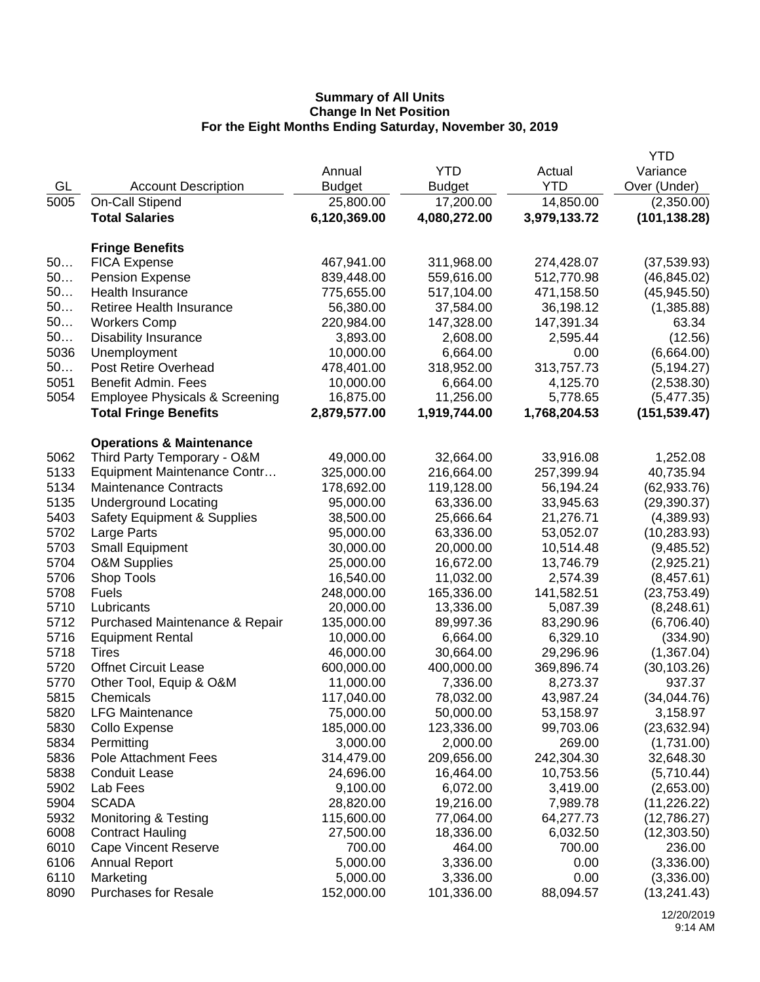|              |                                                           |                         |                        |                        | <b>YTD</b>             |
|--------------|-----------------------------------------------------------|-------------------------|------------------------|------------------------|------------------------|
|              |                                                           | Annual                  | <b>YTD</b>             | Actual                 | Variance               |
| GL           | <b>Account Description</b>                                | <b>Budget</b>           | <b>Budget</b>          | <b>YTD</b>             | Over (Under)           |
| 5005         | On-Call Stipend                                           | 25,800.00               | 17,200.00              | 14,850.00              | (2,350.00)             |
|              | <b>Total Salaries</b>                                     | 6,120,369.00            | 4,080,272.00           | 3,979,133.72           | (101, 138.28)          |
|              |                                                           |                         |                        |                        |                        |
| 50           | <b>Fringe Benefits</b><br><b>FICA Expense</b>             | 467,941.00              | 311,968.00             | 274,428.07             | (37,539.93)            |
| 50           | <b>Pension Expense</b>                                    | 839,448.00              | 559,616.00             | 512,770.98             | (46, 845.02)           |
| 50           | Health Insurance                                          | 775,655.00              | 517,104.00             | 471,158.50             | (45, 945.50)           |
| 50           | Retiree Health Insurance                                  | 56,380.00               | 37,584.00              | 36,198.12              | (1,385.88)             |
| 50           | <b>Workers Comp</b>                                       | 220,984.00              | 147,328.00             | 147,391.34             | 63.34                  |
| 50           | <b>Disability Insurance</b>                               | 3,893.00                | 2,608.00               | 2,595.44               | (12.56)                |
| 5036         | Unemployment                                              | 10,000.00               | 6,664.00               | 0.00                   | (6,664.00)             |
| 50           | <b>Post Retire Overhead</b>                               | 478,401.00              | 318,952.00             | 313,757.73             | (5, 194.27)            |
| 5051         | Benefit Admin. Fees                                       | 10,000.00               | 6,664.00               | 4,125.70               | (2,538.30)             |
| 5054         | <b>Employee Physicals &amp; Screening</b>                 | 16,875.00               | 11,256.00              | 5,778.65               | (5,477.35)             |
|              | <b>Total Fringe Benefits</b>                              | 2,879,577.00            | 1,919,744.00           | 1,768,204.53           | (151, 539.47)          |
|              |                                                           |                         |                        |                        |                        |
|              | <b>Operations &amp; Maintenance</b>                       |                         |                        |                        |                        |
| 5062         | Third Party Temporary - O&M                               | 49,000.00               | 32,664.00              | 33,916.08              | 1,252.08               |
| 5133         | Equipment Maintenance Contr                               | 325,000.00              | 216,664.00             | 257,399.94             | 40,735.94              |
| 5134         | <b>Maintenance Contracts</b>                              | 178,692.00              | 119,128.00             | 56,194.24              | (62, 933.76)           |
| 5135         | <b>Underground Locating</b>                               | 95,000.00               | 63,336.00              | 33,945.63              | (29, 390.37)           |
| 5403         | <b>Safety Equipment &amp; Supplies</b>                    | 38,500.00               | 25,666.64              | 21,276.71              | (4,389.93)             |
| 5702         | Large Parts                                               | 95,000.00               | 63,336.00              | 53,052.07              | (10, 283.93)           |
| 5703         | <b>Small Equipment</b>                                    | 30,000.00               | 20,000.00              | 10,514.48              | (9,485.52)             |
| 5704         | <b>O&amp;M Supplies</b>                                   | 25,000.00               | 16,672.00              | 13,746.79              | (2,925.21)             |
| 5706         | Shop Tools                                                | 16,540.00               | 11,032.00              | 2,574.39               | (8,457.61)             |
| 5708<br>5710 | <b>Fuels</b><br>Lubricants                                | 248,000.00<br>20,000.00 | 165,336.00             | 141,582.51<br>5,087.39 | (23, 753.49)           |
| 5712         |                                                           | 135,000.00              | 13,336.00<br>89,997.36 | 83,290.96              | (8, 248.61)            |
| 5716         | Purchased Maintenance & Repair<br><b>Equipment Rental</b> | 10,000.00               | 6,664.00               | 6,329.10               | (6,706.40)<br>(334.90) |
| 5718         | Tires                                                     | 46,000.00               | 30,664.00              | 29,296.96              | (1,367.04)             |
| 5720         | <b>Offnet Circuit Lease</b>                               | 600,000.00              | 400,000.00             | 369,896.74             | (30, 103.26)           |
| 5770         | Other Tool, Equip & O&M                                   | 11,000.00               | 7,336.00               | 8,273.37               | 937.37                 |
| 5815         | Chemicals                                                 | 117,040.00              | 78,032.00              | 43,987.24              | (34,044.76)            |
| 5820         | <b>LFG Maintenance</b>                                    | 75,000.00               | 50,000.00              | 53,158.97              | 3,158.97               |
| 5830         | Collo Expense                                             | 185,000.00              | 123,336.00             | 99,703.06              | (23, 632.94)           |
| 5834         | Permitting                                                | 3,000.00                | 2,000.00               | 269.00                 | (1,731.00)             |
| 5836         | Pole Attachment Fees                                      | 314,479.00              | 209,656.00             | 242,304.30             | 32,648.30              |
| 5838         | <b>Conduit Lease</b>                                      | 24,696.00               | 16,464.00              | 10,753.56              | (5,710.44)             |
| 5902         | Lab Fees                                                  | 9,100.00                | 6,072.00               | 3,419.00               | (2,653.00)             |
| 5904         | <b>SCADA</b>                                              | 28,820.00               | 19,216.00              | 7,989.78               | (11, 226.22)           |
| 5932         | <b>Monitoring &amp; Testing</b>                           | 115,600.00              | 77,064.00              | 64,277.73              | (12,786.27)            |
| 6008         | <b>Contract Hauling</b>                                   | 27,500.00               | 18,336.00              | 6,032.50               | (12, 303.50)           |
| 6010         | <b>Cape Vincent Reserve</b>                               | 700.00                  | 464.00                 | 700.00                 | 236.00                 |
| 6106         | <b>Annual Report</b>                                      | 5,000.00                | 3,336.00               | 0.00                   | (3,336.00)             |
| 6110         | Marketing                                                 | 5,000.00                | 3,336.00               | 0.00                   | (3,336.00)             |
| 8090         | <b>Purchases for Resale</b>                               | 152,000.00              | 101,336.00             | 88,094.57              | (13, 241.43)           |
|              |                                                           |                         |                        |                        |                        |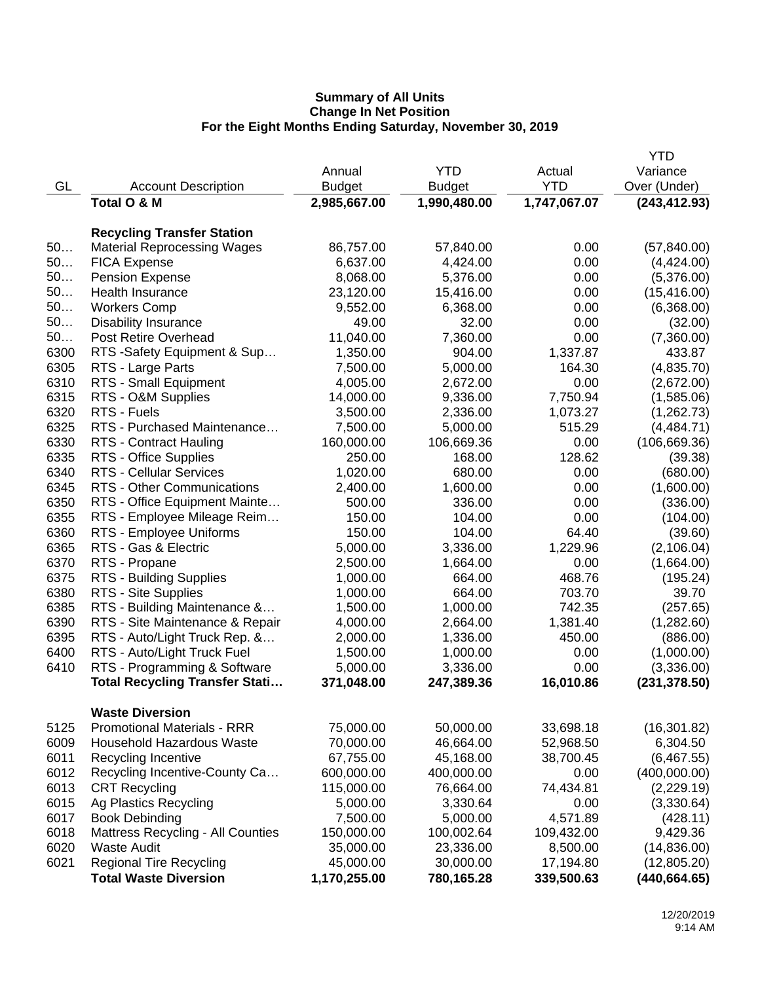|      |                                          |               |               |              | <b>YTD</b>    |
|------|------------------------------------------|---------------|---------------|--------------|---------------|
|      |                                          | Annual        | <b>YTD</b>    | Actual       | Variance      |
| GL   | <b>Account Description</b>               | <b>Budget</b> | <b>Budget</b> | <b>YTD</b>   | Over (Under)  |
|      | Total O & M                              | 2,985,667.00  | 1,990,480.00  | 1,747,067.07 | (243, 412.93) |
|      |                                          |               |               |              |               |
|      | <b>Recycling Transfer Station</b>        |               |               |              |               |
| 50   | <b>Material Reprocessing Wages</b>       | 86,757.00     | 57,840.00     | 0.00         | (57, 840.00)  |
| 50   | <b>FICA Expense</b>                      | 6,637.00      | 4,424.00      | 0.00         | (4,424.00)    |
| 50   | <b>Pension Expense</b>                   | 8,068.00      | 5,376.00      | 0.00         | (5,376.00)    |
| 50   | <b>Health Insurance</b>                  | 23,120.00     | 15,416.00     | 0.00         | (15, 416.00)  |
| 50   | <b>Workers Comp</b>                      | 9,552.00      | 6,368.00      | 0.00         | (6,368.00)    |
| 50   | <b>Disability Insurance</b>              | 49.00         | 32.00         | 0.00         | (32.00)       |
| 50   | Post Retire Overhead                     | 11,040.00     | 7,360.00      | 0.00         | (7,360.00)    |
| 6300 | RTS -Safety Equipment & Sup              | 1,350.00      | 904.00        | 1,337.87     | 433.87        |
| 6305 | RTS - Large Parts                        | 7,500.00      | 5,000.00      | 164.30       | (4,835.70)    |
| 6310 | RTS - Small Equipment                    | 4,005.00      | 2,672.00      | 0.00         | (2,672.00)    |
| 6315 | RTS - O&M Supplies                       | 14,000.00     | 9,336.00      | 7,750.94     | (1,585.06)    |
| 6320 | RTS - Fuels                              | 3,500.00      | 2,336.00      | 1,073.27     | (1,262.73)    |
| 6325 | RTS - Purchased Maintenance              | 7,500.00      | 5,000.00      | 515.29       | (4,484.71)    |
| 6330 | <b>RTS - Contract Hauling</b>            | 160,000.00    | 106,669.36    | 0.00         | (106, 669.36) |
| 6335 | RTS - Office Supplies                    | 250.00        | 168.00        | 128.62       | (39.38)       |
| 6340 | <b>RTS - Cellular Services</b>           | 1,020.00      | 680.00        | 0.00         | (680.00)      |
| 6345 | RTS - Other Communications               | 2,400.00      | 1,600.00      | 0.00         | (1,600.00)    |
| 6350 | RTS - Office Equipment Mainte            | 500.00        | 336.00        | 0.00         | (336.00)      |
| 6355 | RTS - Employee Mileage Reim              | 150.00        | 104.00        | 0.00         | (104.00)      |
| 6360 | RTS - Employee Uniforms                  | 150.00        | 104.00        | 64.40        | (39.60)       |
| 6365 | RTS - Gas & Electric                     | 5,000.00      | 3,336.00      | 1,229.96     | (2, 106.04)   |
| 6370 | RTS - Propane                            | 2,500.00      | 1,664.00      | 0.00         | (1,664.00)    |
| 6375 | RTS - Building Supplies                  | 1,000.00      | 664.00        | 468.76       | (195.24)      |
| 6380 | RTS - Site Supplies                      | 1,000.00      | 664.00        | 703.70       | 39.70         |
| 6385 | RTS - Building Maintenance &             | 1,500.00      | 1,000.00      | 742.35       | (257.65)      |
| 6390 | RTS - Site Maintenance & Repair          | 4,000.00      | 2,664.00      | 1,381.40     | (1,282.60)    |
| 6395 | RTS - Auto/Light Truck Rep. &            | 2,000.00      | 1,336.00      | 450.00       | (886.00)      |
| 6400 | RTS - Auto/Light Truck Fuel              | 1,500.00      | 1,000.00      | 0.00         | (1,000.00)    |
| 6410 | RTS - Programming & Software             | 5,000.00      | 3,336.00      | 0.00         | (3,336.00)    |
|      | <b>Total Recycling Transfer Stati</b>    | 371,048.00    | 247,389.36    | 16,010.86    | (231, 378.50) |
|      |                                          |               |               |              |               |
|      | <b>Waste Diversion</b>                   |               |               |              |               |
| 5125 | <b>Promotional Materials - RRR</b>       | 75,000.00     | 50,000.00     | 33,698.18    | (16, 301.82)  |
| 6009 | Household Hazardous Waste                | 70,000.00     | 46,664.00     | 52,968.50    | 6,304.50      |
| 6011 | Recycling Incentive                      | 67,755.00     | 45,168.00     | 38,700.45    | (6,467.55)    |
| 6012 | Recycling Incentive-County Ca            | 600,000.00    | 400,000.00    | 0.00         | (400,000.00)  |
| 6013 | <b>CRT Recycling</b>                     | 115,000.00    | 76,664.00     | 74,434.81    | (2,229.19)    |
| 6015 | Ag Plastics Recycling                    | 5,000.00      | 3,330.64      | 0.00         | (3,330.64)    |
| 6017 | <b>Book Debinding</b>                    | 7,500.00      | 5,000.00      | 4,571.89     | (428.11)      |
| 6018 | <b>Mattress Recycling - All Counties</b> | 150,000.00    | 100,002.64    | 109,432.00   | 9,429.36      |
| 6020 | <b>Waste Audit</b>                       | 35,000.00     | 23,336.00     | 8,500.00     | (14,836.00)   |
| 6021 | <b>Regional Tire Recycling</b>           | 45,000.00     | 30,000.00     | 17,194.80    | (12,805.20)   |
|      | <b>Total Waste Diversion</b>             | 1,170,255.00  | 780,165.28    | 339,500.63   | (440, 664.65) |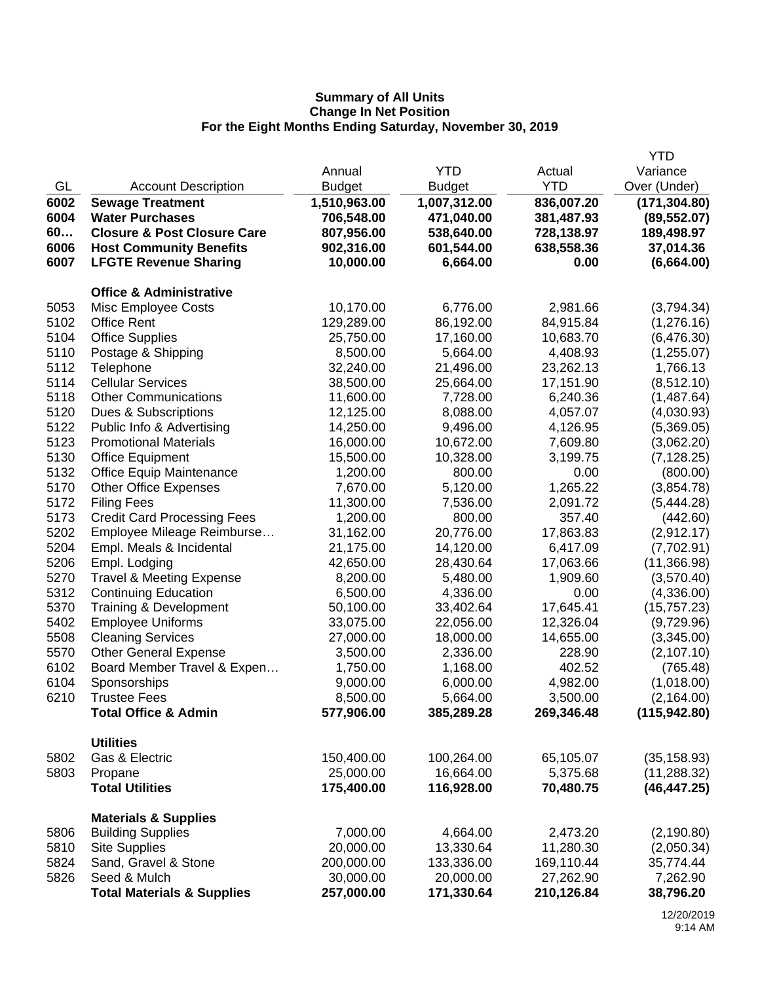|      |                                        |               |               |            | <b>YTD</b>    |
|------|----------------------------------------|---------------|---------------|------------|---------------|
|      |                                        | Annual        | <b>YTD</b>    | Actual     | Variance      |
| GL   | <b>Account Description</b>             | <b>Budget</b> | <b>Budget</b> | <b>YTD</b> | Over (Under)  |
| 6002 | <b>Sewage Treatment</b>                | 1,510,963.00  | 1,007,312.00  | 836,007.20 | (171, 304.80) |
| 6004 | <b>Water Purchases</b>                 | 706,548.00    | 471,040.00    | 381,487.93 | (89, 552.07)  |
| 60   | <b>Closure &amp; Post Closure Care</b> | 807,956.00    | 538,640.00    | 728,138.97 | 189,498.97    |
| 6006 | <b>Host Community Benefits</b>         | 902,316.00    | 601,544.00    | 638,558.36 | 37,014.36     |
| 6007 | <b>LFGTE Revenue Sharing</b>           | 10,000.00     | 6,664.00      | 0.00       | (6,664.00)    |
|      | <b>Office &amp; Administrative</b>     |               |               |            |               |
| 5053 | Misc Employee Costs                    | 10,170.00     | 6,776.00      | 2,981.66   | (3,794.34)    |
| 5102 | <b>Office Rent</b>                     | 129,289.00    | 86,192.00     | 84,915.84  | (1,276.16)    |
| 5104 | <b>Office Supplies</b>                 | 25,750.00     | 17,160.00     | 10,683.70  | (6,476.30)    |
| 5110 | Postage & Shipping                     | 8,500.00      | 5,664.00      | 4,408.93   | (1,255.07)    |
| 5112 | Telephone                              | 32,240.00     | 21,496.00     | 23,262.13  | 1,766.13      |
| 5114 | <b>Cellular Services</b>               | 38,500.00     | 25,664.00     | 17,151.90  | (8, 512.10)   |
| 5118 | <b>Other Communications</b>            | 11,600.00     | 7,728.00      | 6,240.36   | (1,487.64)    |
| 5120 | Dues & Subscriptions                   | 12,125.00     | 8,088.00      | 4,057.07   | (4,030.93)    |
| 5122 | Public Info & Advertising              | 14,250.00     | 9,496.00      | 4,126.95   | (5,369.05)    |
| 5123 | <b>Promotional Materials</b>           | 16,000.00     | 10,672.00     | 7,609.80   | (3,062.20)    |
| 5130 | <b>Office Equipment</b>                | 15,500.00     | 10,328.00     | 3,199.75   | (7, 128.25)   |
| 5132 | <b>Office Equip Maintenance</b>        | 1,200.00      | 800.00        | 0.00       | (800.00)      |
| 5170 | <b>Other Office Expenses</b>           | 7,670.00      | 5,120.00      | 1,265.22   | (3,854.78)    |
| 5172 | <b>Filing Fees</b>                     | 11,300.00     | 7,536.00      | 2,091.72   | (5,444.28)    |
| 5173 | <b>Credit Card Processing Fees</b>     | 1,200.00      | 800.00        | 357.40     | (442.60)      |
| 5202 | Employee Mileage Reimburse             | 31,162.00     | 20,776.00     | 17,863.83  | (2,912.17)    |
| 5204 | Empl. Meals & Incidental               | 21,175.00     | 14,120.00     | 6,417.09   | (7,702.91)    |
| 5206 | Empl. Lodging                          | 42,650.00     | 28,430.64     | 17,063.66  | (11,366.98)   |
| 5270 | <b>Travel &amp; Meeting Expense</b>    | 8,200.00      | 5,480.00      | 1,909.60   | (3,570.40)    |
| 5312 | <b>Continuing Education</b>            | 6,500.00      | 4,336.00      | 0.00       | (4,336.00)    |
| 5370 | Training & Development                 | 50,100.00     | 33,402.64     | 17,645.41  | (15, 757.23)  |
| 5402 | <b>Employee Uniforms</b>               | 33,075.00     | 22,056.00     | 12,326.04  | (9,729.96)    |
| 5508 | <b>Cleaning Services</b>               | 27,000.00     | 18,000.00     | 14,655.00  | (3,345.00)    |
| 5570 | <b>Other General Expense</b>           | 3,500.00      | 2,336.00      | 228.90     | (2, 107.10)   |
| 6102 | Board Member Travel & Expen            | 1,750.00      | 1,168.00      | 402.52     | (765.48)      |
| 6104 | Sponsorships                           | 9,000.00      | 6,000.00      | 4,982.00   | (1,018.00)    |
| 6210 | <b>Trustee Fees</b>                    | 8,500.00      | 5,664.00      | 3,500.00   | (2, 164.00)   |
|      | <b>Total Office &amp; Admin</b>        | 577,906.00    | 385,289.28    | 269,346.48 | (115, 942.80) |
|      | <b>Utilities</b>                       |               |               |            |               |
| 5802 | Gas & Electric                         | 150,400.00    | 100,264.00    | 65,105.07  | (35, 158.93)  |
| 5803 | Propane                                | 25,000.00     | 16,664.00     | 5,375.68   | (11, 288.32)  |
|      | <b>Total Utilities</b>                 | 175,400.00    | 116,928.00    | 70,480.75  | (46, 447.25)  |
|      | <b>Materials &amp; Supplies</b>        |               |               |            |               |
| 5806 | <b>Building Supplies</b>               | 7,000.00      | 4,664.00      | 2,473.20   | (2, 190.80)   |
| 5810 | <b>Site Supplies</b>                   | 20,000.00     | 13,330.64     | 11,280.30  | (2,050.34)    |
| 5824 | Sand, Gravel & Stone                   | 200,000.00    | 133,336.00    | 169,110.44 | 35,774.44     |
| 5826 | Seed & Mulch                           | 30,000.00     | 20,000.00     | 27,262.90  | 7,262.90      |
|      | <b>Total Materials &amp; Supplies</b>  | 257,000.00    | 171,330.64    | 210,126.84 | 38,796.20     |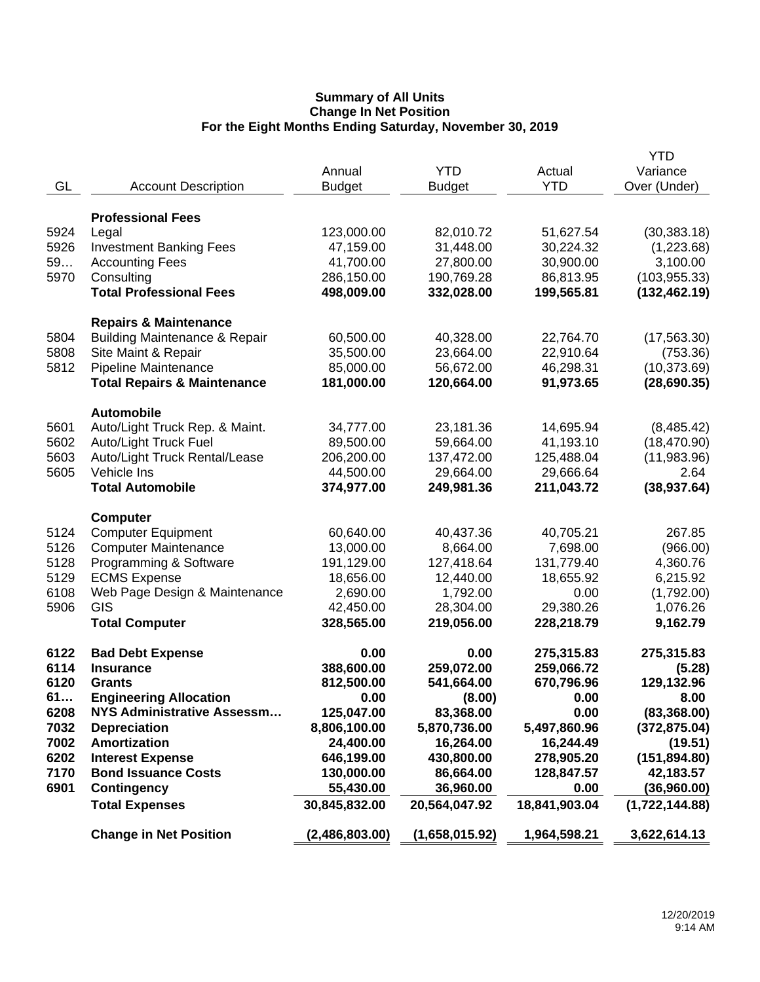|      |                                          |                |                |               | <b>YTD</b>     |
|------|------------------------------------------|----------------|----------------|---------------|----------------|
|      |                                          | Annual         | <b>YTD</b>     | Actual        | Variance       |
| GL   | <b>Account Description</b>               | <b>Budget</b>  | <b>Budget</b>  | <b>YTD</b>    | Over (Under)   |
|      |                                          |                |                |               |                |
|      | <b>Professional Fees</b>                 |                |                |               |                |
| 5924 | Legal                                    | 123,000.00     | 82,010.72      | 51,627.54     | (30, 383.18)   |
| 5926 | <b>Investment Banking Fees</b>           | 47,159.00      | 31,448.00      | 30,224.32     | (1,223.68)     |
| 59   | <b>Accounting Fees</b>                   | 41,700.00      | 27,800.00      | 30,900.00     | 3,100.00       |
| 5970 | Consulting                               | 286,150.00     | 190,769.28     | 86,813.95     | (103, 955.33)  |
|      | <b>Total Professional Fees</b>           | 498,009.00     | 332,028.00     | 199,565.81    | (132, 462.19)  |
|      |                                          |                |                |               |                |
|      | <b>Repairs &amp; Maintenance</b>         |                |                |               |                |
| 5804 | <b>Building Maintenance &amp; Repair</b> | 60,500.00      | 40,328.00      | 22,764.70     | (17, 563.30)   |
| 5808 | Site Maint & Repair                      | 35,500.00      | 23,664.00      | 22,910.64     | (753.36)       |
| 5812 | Pipeline Maintenance                     | 85,000.00      | 56,672.00      | 46,298.31     | (10, 373.69)   |
|      | <b>Total Repairs &amp; Maintenance</b>   | 181,000.00     | 120,664.00     | 91,973.65     | (28, 690.35)   |
|      |                                          |                |                |               |                |
|      | <b>Automobile</b>                        |                |                |               |                |
| 5601 | Auto/Light Truck Rep. & Maint.           | 34,777.00      | 23,181.36      | 14,695.94     | (8,485.42)     |
| 5602 | Auto/Light Truck Fuel                    | 89,500.00      | 59,664.00      | 41,193.10     | (18, 470.90)   |
| 5603 | Auto/Light Truck Rental/Lease            | 206,200.00     | 137,472.00     | 125,488.04    | (11,983.96)    |
| 5605 | Vehicle Ins                              | 44,500.00      | 29,664.00      | 29,666.64     | 2.64           |
|      | <b>Total Automobile</b>                  | 374,977.00     | 249,981.36     | 211,043.72    | (38, 937.64)   |
|      |                                          |                |                |               |                |
|      | <b>Computer</b>                          |                |                |               |                |
| 5124 | <b>Computer Equipment</b>                | 60,640.00      | 40,437.36      | 40,705.21     | 267.85         |
| 5126 | <b>Computer Maintenance</b>              | 13,000.00      | 8,664.00       | 7,698.00      | (966.00)       |
| 5128 | Programming & Software                   | 191,129.00     | 127,418.64     | 131,779.40    | 4,360.76       |
| 5129 | <b>ECMS Expense</b>                      | 18,656.00      | 12,440.00      | 18,655.92     | 6,215.92       |
| 6108 | Web Page Design & Maintenance            | 2,690.00       | 1,792.00       | 0.00          | (1,792.00)     |
| 5906 | GIS                                      | 42,450.00      | 28,304.00      | 29,380.26     | 1,076.26       |
|      | <b>Total Computer</b>                    | 328,565.00     | 219,056.00     | 228,218.79    | 9,162.79       |
|      |                                          |                |                |               |                |
| 6122 | <b>Bad Debt Expense</b>                  | 0.00           | 0.00           | 275,315.83    | 275,315.83     |
| 6114 | <b>Insurance</b>                         | 388,600.00     | 259,072.00     | 259,066.72    | (5.28)         |
| 6120 | <b>Grants</b>                            | 812,500.00     | 541,664.00     | 670,796.96    | 129,132.96     |
| 61   | <b>Engineering Allocation</b>            | 0.00           | (8.00)         | 0.00          | 8.00           |
| 6208 | NYS Administrative Assessm               | 125,047.00     | 83,368.00      | 0.00          | (83, 368.00)   |
| 7032 | <b>Depreciation</b>                      | 8,806,100.00   | 5,870,736.00   | 5,497,860.96  | (372, 875.04)  |
| 7002 | Amortization                             | 24,400.00      | 16,264.00      | 16,244.49     | (19.51)        |
| 6202 | <b>Interest Expense</b>                  | 646,199.00     | 430,800.00     | 278,905.20    | (151, 894.80)  |
| 7170 | <b>Bond Issuance Costs</b>               | 130,000.00     | 86,664.00      | 128,847.57    | 42,183.57      |
| 6901 | <b>Contingency</b>                       | 55,430.00      | 36,960.00      | 0.00          | (36,960.00)    |
|      | <b>Total Expenses</b>                    | 30,845,832.00  | 20,564,047.92  | 18,841,903.04 | (1,722,144.88) |
|      | <b>Change in Net Position</b>            | (2,486,803.00) | (1,658,015.92) | 1,964,598.21  | 3,622,614.13   |
|      |                                          |                |                |               |                |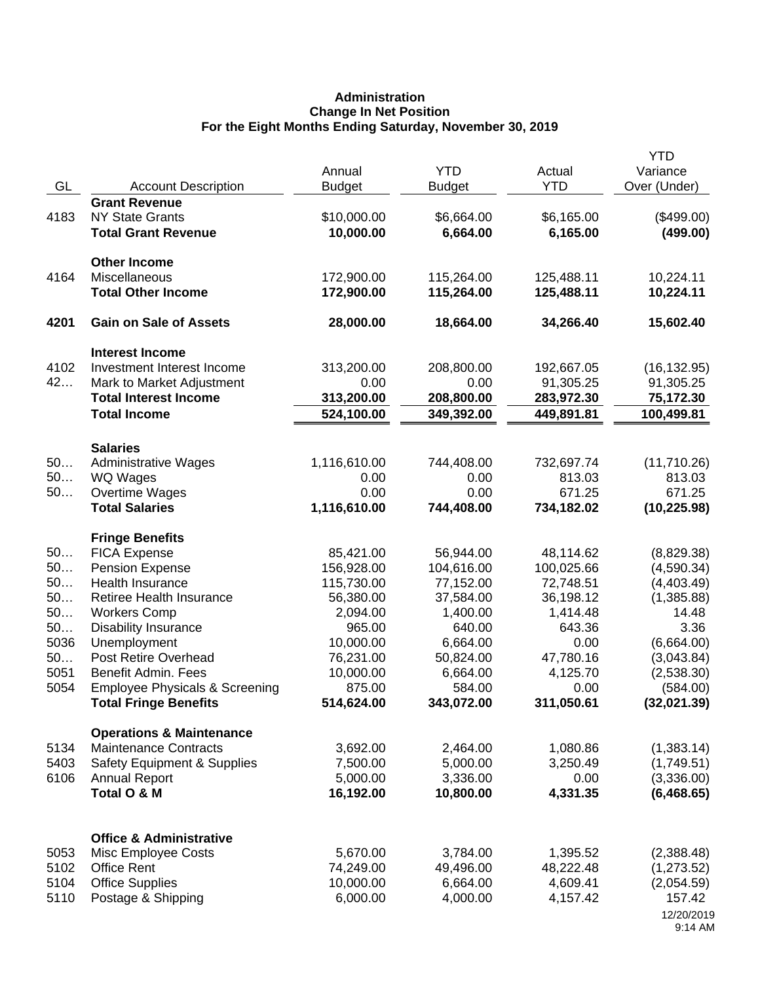# **Administration Change In Net Position For the Eight Months Ending Saturday, November 30, 2019**

|      |                                                                     | Annual               | <b>YTD</b>         | Actual             | <b>YTD</b><br>Variance  |
|------|---------------------------------------------------------------------|----------------------|--------------------|--------------------|-------------------------|
| GL   | <b>Account Description</b>                                          | <b>Budget</b>        | <b>Budget</b>      | <b>YTD</b>         | Over (Under)            |
|      | <b>Grant Revenue</b>                                                |                      |                    |                    |                         |
| 4183 | <b>NY State Grants</b>                                              | \$10,000.00          | \$6,664.00         | \$6,165.00         | $(\$499.00)$            |
|      | <b>Total Grant Revenue</b>                                          | 10,000.00            | 6,664.00           | 6,165.00           | (499.00)                |
|      | <b>Other Income</b>                                                 |                      |                    |                    |                         |
| 4164 | Miscellaneous                                                       | 172,900.00           | 115,264.00         | 125,488.11         | 10,224.11               |
|      | <b>Total Other Income</b>                                           | 172,900.00           | 115,264.00         | 125,488.11         | 10,224.11               |
| 4201 | <b>Gain on Sale of Assets</b>                                       | 28,000.00            | 18,664.00          | 34,266.40          | 15,602.40               |
|      | <b>Interest Income</b>                                              |                      |                    |                    |                         |
| 4102 | Investment Interest Income                                          | 313,200.00           | 208,800.00         | 192,667.05         | (16, 132.95)            |
| 42   | Mark to Market Adjustment                                           | 0.00                 | 0.00               | 91,305.25          | 91,305.25               |
|      | <b>Total Interest Income</b>                                        | 313,200.00           | 208,800.00         | 283,972.30         | 75,172.30               |
|      | <b>Total Income</b>                                                 | 524,100.00           | 349,392.00         | 449,891.81         | 100,499.81              |
|      | <b>Salaries</b>                                                     |                      |                    |                    |                         |
| 50   | <b>Administrative Wages</b>                                         | 1,116,610.00         | 744,408.00         | 732,697.74         | (11,710.26)             |
| 50   | <b>WQ Wages</b>                                                     | 0.00                 | 0.00               | 813.03             | 813.03                  |
| 50   | Overtime Wages                                                      | 0.00                 | 0.00               | 671.25             | 671.25                  |
|      | <b>Total Salaries</b>                                               | 1,116,610.00         | 744,408.00         | 734,182.02         | (10, 225.98)            |
|      | <b>Fringe Benefits</b>                                              |                      |                    |                    |                         |
| 50   | <b>FICA Expense</b>                                                 | 85,421.00            | 56,944.00          | 48,114.62          | (8,829.38)              |
| 50   | <b>Pension Expense</b>                                              | 156,928.00           | 104,616.00         | 100,025.66         | (4,590.34)              |
| 50   | Health Insurance                                                    | 115,730.00           | 77,152.00          | 72,748.51          | (4,403.49)              |
| 50   | Retiree Health Insurance                                            | 56,380.00            | 37,584.00          | 36,198.12          | (1,385.88)              |
| 50   | <b>Workers Comp</b>                                                 | 2,094.00             | 1,400.00           | 1,414.48           | 14.48                   |
| 50   | <b>Disability Insurance</b>                                         | 965.00               | 640.00             | 643.36             | 3.36                    |
| 5036 | Unemployment                                                        | 10,000.00            | 6,664.00           | 0.00               | (6,664.00)              |
| 50   | Post Retire Overhead                                                | 76,231.00            | 50,824.00          | 47,780.16          | (3,043.84)              |
| 5051 | Benefit Admin. Fees                                                 | 10,000.00            | 6,664.00<br>584.00 | 4,125.70           | (2,538.30)              |
| 5054 | <b>Employee Physicals &amp; Screening</b>                           | 875.00<br>514,624.00 | 343,072.00         | 0.00<br>311,050.61 | (584.00)<br>(32,021.39) |
|      | <b>Total Fringe Benefits</b>                                        |                      |                    |                    |                         |
| 5134 | <b>Operations &amp; Maintenance</b><br><b>Maintenance Contracts</b> | 3,692.00             | 2,464.00           | 1,080.86           | (1,383.14)              |
| 5403 | <b>Safety Equipment &amp; Supplies</b>                              | 7,500.00             | 5,000.00           | 3,250.49           | (1,749.51)              |
| 6106 | <b>Annual Report</b>                                                | 5,000.00             | 3,336.00           | 0.00               | (3,336.00)              |
|      | Total O & M                                                         | 16,192.00            | 10,800.00          | 4,331.35           | (6,468.65)              |
|      |                                                                     |                      |                    |                    |                         |
|      | <b>Office &amp; Administrative</b>                                  |                      |                    |                    |                         |
| 5053 | Misc Employee Costs                                                 | 5,670.00             | 3,784.00           | 1,395.52           | (2,388.48)              |
| 5102 | <b>Office Rent</b>                                                  | 74,249.00            | 49,496.00          | 48,222.48          | (1,273.52)              |
| 5104 | <b>Office Supplies</b>                                              | 10,000.00            | 6,664.00           | 4,609.41           | (2,054.59)              |
| 5110 | Postage & Shipping                                                  | 6,000.00             | 4,000.00           | 4,157.42           | 157.42                  |
|      |                                                                     |                      |                    |                    | 12/20/2019<br>9:14 AM   |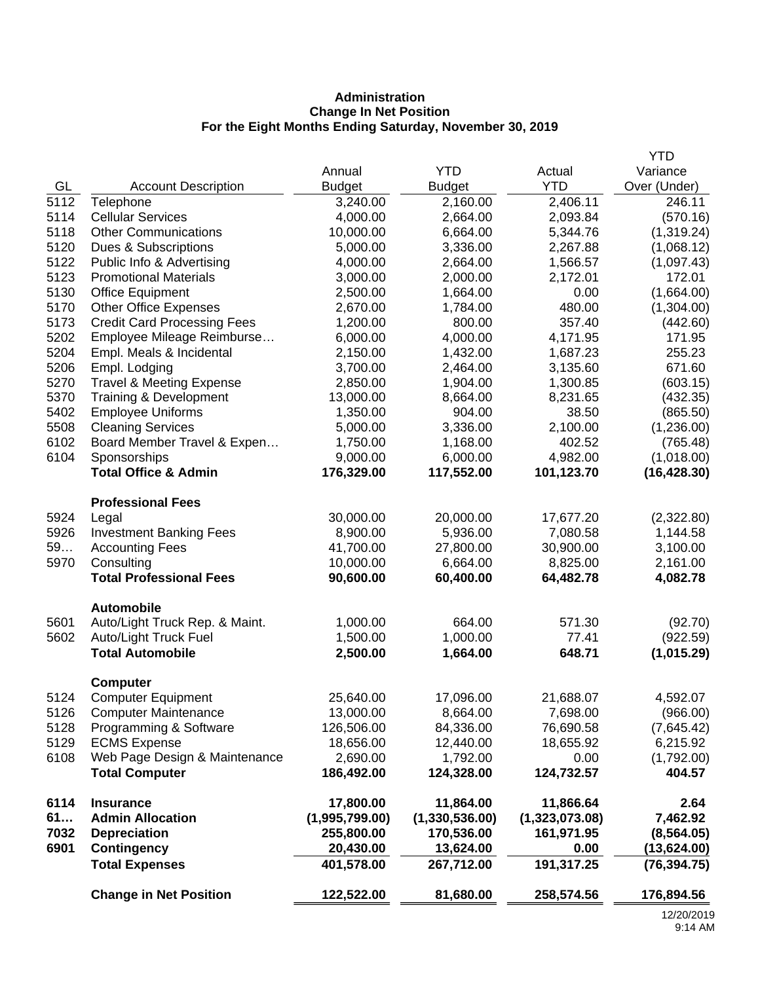# **Administration Change In Net Position For the Eight Months Ending Saturday, November 30, 2019**

|      |                                               |                |                |                | <b>YTD</b>   |
|------|-----------------------------------------------|----------------|----------------|----------------|--------------|
|      |                                               | Annual         | <b>YTD</b>     | Actual         | Variance     |
| GL   | <b>Account Description</b>                    | <b>Budget</b>  | <b>Budget</b>  | <b>YTD</b>     | Over (Under) |
| 5112 | Telephone                                     | 3,240.00       | 2,160.00       | 2,406.11       | 246.11       |
| 5114 | <b>Cellular Services</b>                      | 4,000.00       | 2,664.00       | 2,093.84       | (570.16)     |
| 5118 | <b>Other Communications</b>                   | 10,000.00      | 6,664.00       | 5,344.76       | (1,319.24)   |
| 5120 | Dues & Subscriptions                          | 5,000.00       | 3,336.00       | 2,267.88       | (1,068.12)   |
| 5122 | Public Info & Advertising                     | 4,000.00       | 2,664.00       | 1,566.57       | (1,097.43)   |
| 5123 | <b>Promotional Materials</b>                  | 3,000.00       | 2,000.00       | 2,172.01       | 172.01       |
| 5130 | <b>Office Equipment</b>                       | 2,500.00       | 1,664.00       | 0.00           | (1,664.00)   |
| 5170 | <b>Other Office Expenses</b>                  | 2,670.00       | 1,784.00       | 480.00         | (1,304.00)   |
| 5173 | <b>Credit Card Processing Fees</b>            | 1,200.00       | 800.00         | 357.40         | (442.60)     |
| 5202 | Employee Mileage Reimburse                    | 6,000.00       | 4,000.00       | 4,171.95       | 171.95       |
| 5204 | Empl. Meals & Incidental                      | 2,150.00       | 1,432.00       | 1,687.23       | 255.23       |
| 5206 | Empl. Lodging                                 | 3,700.00       | 2,464.00       | 3,135.60       | 671.60       |
| 5270 | <b>Travel &amp; Meeting Expense</b>           | 2,850.00       | 1,904.00       | 1,300.85       | (603.15)     |
| 5370 | Training & Development                        | 13,000.00      | 8,664.00       | 8,231.65       | (432.35)     |
| 5402 | <b>Employee Uniforms</b>                      | 1,350.00       | 904.00         | 38.50          | (865.50)     |
| 5508 | <b>Cleaning Services</b>                      | 5,000.00       | 3,336.00       | 2,100.00       | (1,236.00)   |
| 6102 | Board Member Travel & Expen                   | 1,750.00       | 1,168.00       | 402.52         | (765.48)     |
| 6104 | Sponsorships                                  | 9,000.00       | 6,000.00       | 4,982.00       | (1,018.00)   |
|      | <b>Total Office &amp; Admin</b>               | 176,329.00     | 117,552.00     | 101,123.70     | (16, 428.30) |
|      | <b>Professional Fees</b>                      |                |                |                |              |
| 5924 | Legal                                         | 30,000.00      | 20,000.00      | 17,677.20      | (2,322.80)   |
| 5926 | <b>Investment Banking Fees</b>                | 8,900.00       | 5,936.00       | 7,080.58       | 1,144.58     |
| 59   | <b>Accounting Fees</b>                        | 41,700.00      | 27,800.00      | 30,900.00      | 3,100.00     |
| 5970 | Consulting                                    | 10,000.00      | 6,664.00       | 8,825.00       | 2,161.00     |
|      | <b>Total Professional Fees</b>                | 90,600.00      | 60,400.00      | 64,482.78      | 4,082.78     |
|      | <b>Automobile</b>                             |                |                |                |              |
| 5601 | Auto/Light Truck Rep. & Maint.                | 1,000.00       | 664.00         | 571.30         | (92.70)      |
| 5602 | Auto/Light Truck Fuel                         | 1,500.00       | 1,000.00       | 77.41          | (922.59)     |
|      | <b>Total Automobile</b>                       | 2,500.00       | 1,664.00       | 648.71         | (1,015.29)   |
|      |                                               |                |                |                |              |
|      | <b>Computer</b>                               |                |                |                |              |
| 5124 | <b>Computer Equipment</b>                     | 25,640.00      | 17,096.00      | 21,688.07      | 4,592.07     |
| 5126 | <b>Computer Maintenance</b>                   | 13,000.00      | 8,664.00       | 7,698.00       | (966.00)     |
| 5128 | Programming & Software<br><b>ECMS Expense</b> | 126,506.00     | 84,336.00      | 76,690.58      | (7,645.42)   |
| 5129 |                                               | 18,656.00      | 12,440.00      | 18,655.92      | 6,215.92     |
| 6108 | Web Page Design & Maintenance                 | 2,690.00       | 1,792.00       | 0.00           | (1,792.00)   |
|      | <b>Total Computer</b>                         | 186,492.00     | 124,328.00     | 124,732.57     | 404.57       |
| 6114 | <b>Insurance</b>                              | 17,800.00      | 11,864.00      | 11,866.64      | 2.64         |
| 61   | <b>Admin Allocation</b>                       | (1,995,799.00) | (1,330,536.00) | (1,323,073.08) | 7,462.92     |
| 7032 | <b>Depreciation</b>                           | 255,800.00     | 170,536.00     | 161,971.95     | (8, 564.05)  |
| 6901 | <b>Contingency</b>                            | 20,430.00      | 13,624.00      | 0.00           | (13,624.00)  |
|      | <b>Total Expenses</b>                         | 401,578.00     | 267,712.00     | 191,317.25     | (76, 394.75) |
|      | <b>Change in Net Position</b>                 | 122,522.00     | 81,680.00      | 258,574.56     | 176,894.56   |
|      |                                               |                |                |                | 12/20/201    |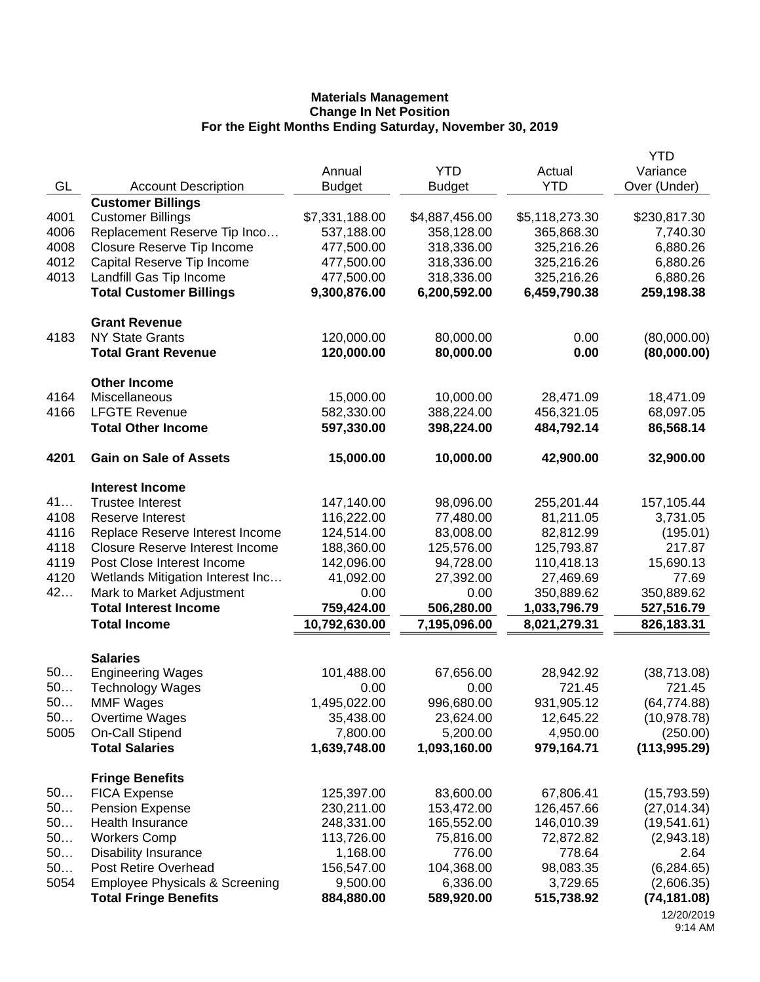|      |                                           |                |                |                | <b>YTD</b>    |
|------|-------------------------------------------|----------------|----------------|----------------|---------------|
|      |                                           | Annual         | <b>YTD</b>     | Actual         | Variance      |
| GL   | <b>Account Description</b>                | <b>Budget</b>  | <b>Budget</b>  | <b>YTD</b>     | Over (Under)  |
|      | <b>Customer Billings</b>                  |                |                |                |               |
| 4001 | <b>Customer Billings</b>                  | \$7,331,188.00 | \$4,887,456.00 | \$5,118,273.30 | \$230,817.30  |
| 4006 | Replacement Reserve Tip Inco              | 537,188.00     | 358,128.00     | 365,868.30     | 7,740.30      |
| 4008 | Closure Reserve Tip Income                | 477,500.00     | 318,336.00     | 325,216.26     | 6,880.26      |
| 4012 | Capital Reserve Tip Income                | 477,500.00     | 318,336.00     | 325,216.26     | 6,880.26      |
| 4013 | Landfill Gas Tip Income                   | 477,500.00     | 318,336.00     | 325,216.26     | 6,880.26      |
|      | <b>Total Customer Billings</b>            | 9,300,876.00   | 6,200,592.00   | 6,459,790.38   | 259,198.38    |
|      | <b>Grant Revenue</b>                      |                |                |                |               |
| 4183 | <b>NY State Grants</b>                    | 120,000.00     | 80,000.00      | 0.00           | (80,000.00)   |
|      | <b>Total Grant Revenue</b>                | 120,000.00     | 80,000.00      | 0.00           | (80,000.00)   |
|      | <b>Other Income</b>                       |                |                |                |               |
| 4164 | Miscellaneous                             | 15,000.00      | 10,000.00      | 28,471.09      | 18,471.09     |
| 4166 | <b>LFGTE Revenue</b>                      | 582,330.00     | 388,224.00     | 456,321.05     | 68,097.05     |
|      | <b>Total Other Income</b>                 | 597,330.00     | 398,224.00     | 484,792.14     | 86,568.14     |
| 4201 | <b>Gain on Sale of Assets</b>             | 15,000.00      | 10,000.00      | 42,900.00      | 32,900.00     |
|      | <b>Interest Income</b>                    |                |                |                |               |
| 41   | <b>Trustee Interest</b>                   | 147,140.00     | 98,096.00      | 255,201.44     | 157,105.44    |
| 4108 | Reserve Interest                          | 116,222.00     | 77,480.00      | 81,211.05      | 3,731.05      |
| 4116 | Replace Reserve Interest Income           | 124,514.00     | 83,008.00      | 82,812.99      | (195.01)      |
| 4118 | <b>Closure Reserve Interest Income</b>    | 188,360.00     | 125,576.00     | 125,793.87     | 217.87        |
| 4119 | Post Close Interest Income                | 142,096.00     | 94,728.00      | 110,418.13     | 15,690.13     |
| 4120 | Wetlands Mitigation Interest Inc          | 41,092.00      | 27,392.00      | 27,469.69      | 77.69         |
| 42   | Mark to Market Adjustment                 | 0.00           | 0.00           | 350,889.62     | 350,889.62    |
|      | <b>Total Interest Income</b>              | 759,424.00     | 506,280.00     | 1,033,796.79   | 527,516.79    |
|      | <b>Total Income</b>                       | 10,792,630.00  | 7,195,096.00   | 8,021,279.31   | 826,183.31    |
|      | <b>Salaries</b>                           |                |                |                |               |
| 50   | <b>Engineering Wages</b>                  | 101,488.00     | 67,656.00      | 28,942.92      | (38, 713.08)  |
| 50   | <b>Technology Wages</b>                   | 0.00           | 0.00           | 721.45         | 721.45        |
| 50.  | <b>MMF Wages</b>                          | 1,495,022.00   | 996,680.00     | 931,905.12     | (64, 774.88)  |
| 50   | Overtime Wages                            | 35,438.00      | 23,624.00      | 12,645.22      | (10, 978.78)  |
| 5005 | <b>On-Call Stipend</b>                    | 7,800.00       | 5,200.00       | 4,950.00       | (250.00)      |
|      | <b>Total Salaries</b>                     | 1,639,748.00   | 1,093,160.00   | 979,164.71     | (113, 995.29) |
|      | <b>Fringe Benefits</b>                    |                |                |                |               |
| 50   | <b>FICA Expense</b>                       | 125,397.00     | 83,600.00      | 67,806.41      | (15,793.59)   |
| 50   | <b>Pension Expense</b>                    | 230,211.00     | 153,472.00     | 126,457.66     | (27, 014.34)  |
| 50   | Health Insurance                          | 248,331.00     | 165,552.00     | 146,010.39     | (19, 541.61)  |
| 50   | <b>Workers Comp</b>                       | 113,726.00     | 75,816.00      | 72,872.82      | (2,943.18)    |
| 50   | <b>Disability Insurance</b>               | 1,168.00       | 776.00         | 778.64         | 2.64          |
| 50   | Post Retire Overhead                      | 156,547.00     | 104,368.00     | 98,083.35      | (6, 284.65)   |
| 5054 | <b>Employee Physicals &amp; Screening</b> | 9,500.00       | 6,336.00       | 3,729.65       | (2,606.35)    |
|      | <b>Total Fringe Benefits</b>              | 884,880.00     | 589,920.00     | 515,738.92     | (74, 181.08)  |
|      |                                           |                |                |                | 12/20/2019    |

<sup>9:14</sup> AM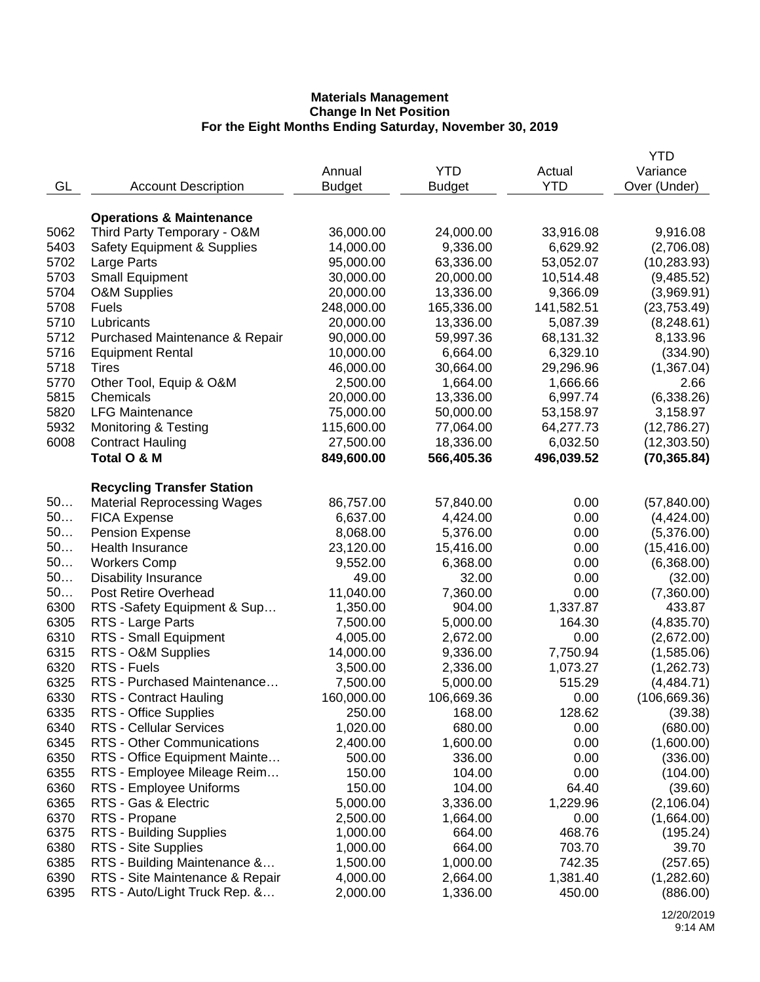|      |                                        |                         |               |            | YTD           |
|------|----------------------------------------|-------------------------|---------------|------------|---------------|
|      |                                        | Annual                  | <b>YTD</b>    | Actual     | Variance      |
| GL   | <b>Account Description</b>             | <b>Budget</b>           | <b>Budget</b> | <b>YTD</b> | Over (Under)  |
|      |                                        |                         |               |            |               |
|      | <b>Operations &amp; Maintenance</b>    |                         |               |            |               |
| 5062 | Third Party Temporary - O&M            | 36,000.00               | 24,000.00     | 33,916.08  | 9,916.08      |
| 5403 | <b>Safety Equipment &amp; Supplies</b> | 14,000.00               | 9,336.00      | 6,629.92   | (2,706.08)    |
| 5702 | Large Parts                            | 95,000.00               | 63,336.00     | 53,052.07  | (10, 283.93)  |
| 5703 | <b>Small Equipment</b>                 | 30,000.00               | 20,000.00     | 10,514.48  | (9,485.52)    |
|      |                                        |                         |               |            |               |
| 5704 | <b>O&amp;M Supplies</b>                | 20,000.00<br>248,000.00 | 13,336.00     | 9,366.09   | (3,969.91)    |
| 5708 | <b>Fuels</b>                           |                         | 165,336.00    | 141,582.51 | (23, 753.49)  |
| 5710 | Lubricants                             | 20,000.00               | 13,336.00     | 5,087.39   | (8, 248.61)   |
| 5712 | Purchased Maintenance & Repair         | 90,000.00               | 59,997.36     | 68,131.32  | 8,133.96      |
| 5716 | <b>Equipment Rental</b>                | 10,000.00               | 6,664.00      | 6,329.10   | (334.90)      |
| 5718 | <b>Tires</b>                           | 46,000.00               | 30,664.00     | 29,296.96  | (1,367.04)    |
| 5770 | Other Tool, Equip & O&M                | 2,500.00                | 1,664.00      | 1,666.66   | 2.66          |
| 5815 | Chemicals                              | 20,000.00               | 13,336.00     | 6,997.74   | (6,338.26)    |
| 5820 | <b>LFG Maintenance</b>                 | 75,000.00               | 50,000.00     | 53,158.97  | 3,158.97      |
| 5932 | <b>Monitoring &amp; Testing</b>        | 115,600.00              | 77,064.00     | 64,277.73  | (12,786.27)   |
| 6008 | <b>Contract Hauling</b>                | 27,500.00               | 18,336.00     | 6,032.50   | (12, 303.50)  |
|      | Total O & M                            | 849,600.00              | 566,405.36    | 496,039.52 | (70, 365.84)  |
|      |                                        |                         |               |            |               |
|      | <b>Recycling Transfer Station</b>      |                         |               |            |               |
| 50   | <b>Material Reprocessing Wages</b>     | 86,757.00               | 57,840.00     | 0.00       | (57, 840.00)  |
| 50   | <b>FICA Expense</b>                    | 6,637.00                | 4,424.00      | 0.00       | (4,424.00)    |
| 50   | <b>Pension Expense</b>                 | 8,068.00                | 5,376.00      | 0.00       | (5,376.00)    |
| 50   | Health Insurance                       | 23,120.00               | 15,416.00     | 0.00       | (15, 416.00)  |
| 50   | <b>Workers Comp</b>                    | 9,552.00                | 6,368.00      | 0.00       | (6,368.00)    |
| 50   | <b>Disability Insurance</b>            | 49.00                   | 32.00         | 0.00       | (32.00)       |
| 50   | Post Retire Overhead                   | 11,040.00               | 7,360.00      | 0.00       | (7,360.00)    |
| 6300 | RTS -Safety Equipment & Sup            | 1,350.00                | 904.00        | 1,337.87   | 433.87        |
| 6305 | RTS - Large Parts                      | 7,500.00                | 5,000.00      | 164.30     | (4,835.70)    |
| 6310 | RTS - Small Equipment                  | 4,005.00                | 2,672.00      | 0.00       | (2,672.00)    |
| 6315 | RTS - O&M Supplies                     | 14,000.00               | 9,336.00      | 7,750.94   | (1,585.06)    |
| 6320 | RTS - Fuels                            | 3,500.00                | 2,336.00      | 1,073.27   | (1, 262.73)   |
| 6325 | RTS - Purchased Maintenance            | 7,500.00                | 5,000.00      | 515.29     | (4,484.71)    |
| 6330 | RTS - Contract Hauling                 | 160,000.00              | 106,669.36    | 0.00       | (106, 669.36) |
| 6335 |                                        | 250.00                  | 168.00        | 128.62     |               |
|      | RTS - Office Supplies                  |                         |               |            | (39.38)       |
| 6340 | <b>RTS - Cellular Services</b>         | 1,020.00                | 680.00        | 0.00       | (680.00)      |
| 6345 | RTS - Other Communications             | 2,400.00                | 1,600.00      | 0.00       | (1,600.00)    |
| 6350 | RTS - Office Equipment Mainte          | 500.00                  | 336.00        | 0.00       | (336.00)      |
| 6355 | RTS - Employee Mileage Reim            | 150.00                  | 104.00        | 0.00       | (104.00)      |
| 6360 | RTS - Employee Uniforms                | 150.00                  | 104.00        | 64.40      | (39.60)       |
| 6365 | RTS - Gas & Electric                   | 5,000.00                | 3,336.00      | 1,229.96   | (2, 106.04)   |
| 6370 | RTS - Propane                          | 2,500.00                | 1,664.00      | 0.00       | (1,664.00)    |
| 6375 | RTS - Building Supplies                | 1,000.00                | 664.00        | 468.76     | (195.24)      |
| 6380 | RTS - Site Supplies                    | 1,000.00                | 664.00        | 703.70     | 39.70         |
| 6385 | RTS - Building Maintenance &           | 1,500.00                | 1,000.00      | 742.35     | (257.65)      |
| 6390 | RTS - Site Maintenance & Repair        | 4,000.00                | 2,664.00      | 1,381.40   | (1,282.60)    |
| 6395 | RTS - Auto/Light Truck Rep. &          | 2,000.00                | 1,336.00      | 450.00     | (886.00)      |
|      |                                        |                         |               |            |               |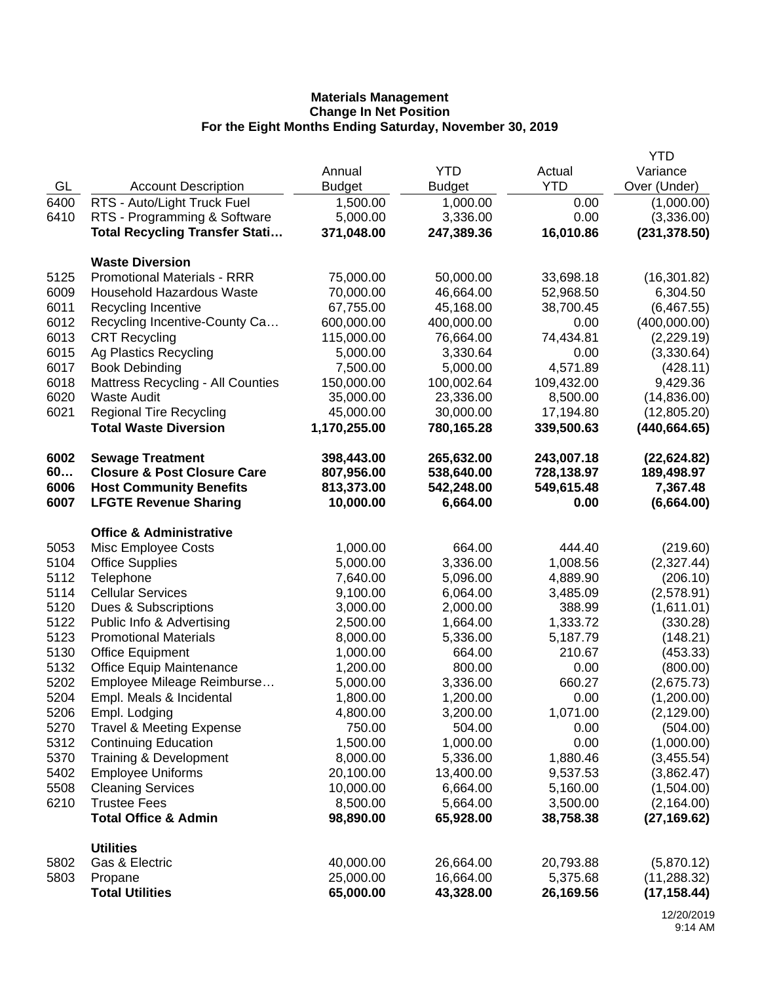|      |                                                 |               |               |            | <b>YTD</b>    |
|------|-------------------------------------------------|---------------|---------------|------------|---------------|
|      |                                                 | Annual        | <b>YTD</b>    | Actual     | Variance      |
| GL   | <b>Account Description</b>                      | <b>Budget</b> | <b>Budget</b> | <b>YTD</b> | Over (Under)  |
| 6400 | RTS - Auto/Light Truck Fuel                     | 1,500.00      | 1,000.00      | 0.00       | (1,000.00)    |
| 6410 | RTS - Programming & Software                    | 5,000.00      | 3,336.00      | 0.00       | (3,336.00)    |
|      | <b>Total Recycling Transfer Stati</b>           | 371,048.00    | 247,389.36    | 16,010.86  | (231, 378.50) |
|      | <b>Waste Diversion</b>                          |               |               |            |               |
| 5125 | <b>Promotional Materials - RRR</b>              | 75,000.00     | 50,000.00     | 33,698.18  | (16, 301.82)  |
| 6009 | <b>Household Hazardous Waste</b>                | 70,000.00     | 46,664.00     | 52,968.50  | 6,304.50      |
| 6011 | Recycling Incentive                             | 67,755.00     | 45,168.00     | 38,700.45  | (6,467.55)    |
| 6012 | Recycling Incentive-County Ca                   | 600,000.00    | 400,000.00    | 0.00       | (400,000.00)  |
| 6013 | <b>CRT Recycling</b>                            | 115,000.00    | 76,664.00     | 74,434.81  | (2,229.19)    |
| 6015 | Ag Plastics Recycling                           | 5,000.00      | 3,330.64      | 0.00       | (3,330.64)    |
| 6017 | <b>Book Debinding</b>                           | 7,500.00      | 5,000.00      | 4,571.89   | (428.11)      |
| 6018 | <b>Mattress Recycling - All Counties</b>        | 150,000.00    | 100,002.64    | 109,432.00 | 9,429.36      |
| 6020 | <b>Waste Audit</b>                              | 35,000.00     | 23,336.00     | 8,500.00   | (14, 836.00)  |
| 6021 | <b>Regional Tire Recycling</b>                  | 45,000.00     | 30,000.00     | 17,194.80  | (12,805.20)   |
|      | <b>Total Waste Diversion</b>                    | 1,170,255.00  | 780,165.28    | 339,500.63 | (440, 664.65) |
| 6002 | <b>Sewage Treatment</b>                         | 398,443.00    | 265,632.00    | 243,007.18 | (22, 624.82)  |
| 60   | <b>Closure &amp; Post Closure Care</b>          | 807,956.00    | 538,640.00    | 728,138.97 | 189,498.97    |
| 6006 | <b>Host Community Benefits</b>                  | 813,373.00    | 542,248.00    | 549,615.48 | 7,367.48      |
| 6007 | <b>LFGTE Revenue Sharing</b>                    | 10,000.00     | 6,664.00      | 0.00       | (6,664.00)    |
|      | <b>Office &amp; Administrative</b>              |               |               |            |               |
| 5053 | Misc Employee Costs                             | 1,000.00      | 664.00        | 444.40     | (219.60)      |
| 5104 | <b>Office Supplies</b>                          | 5,000.00      | 3,336.00      | 1,008.56   | (2,327.44)    |
| 5112 | Telephone                                       | 7,640.00      | 5,096.00      | 4,889.90   | (206.10)      |
| 5114 | <b>Cellular Services</b>                        | 9,100.00      | 6,064.00      | 3,485.09   | (2,578.91)    |
| 5120 | Dues & Subscriptions                            | 3,000.00      | 2,000.00      | 388.99     | (1,611.01)    |
| 5122 | Public Info & Advertising                       | 2,500.00      | 1,664.00      | 1,333.72   | (330.28)      |
| 5123 | <b>Promotional Materials</b>                    | 8,000.00      | 5,336.00      | 5,187.79   | (148.21)      |
| 5130 | <b>Office Equipment</b>                         | 1,000.00      | 664.00        | 210.67     | (453.33)      |
| 5132 | <b>Office Equip Maintenance</b>                 | 1,200.00      | 800.00        | 0.00       | (800.00)      |
| 5202 | Employee Mileage Reimburse                      | 5,000.00      | 3,336.00      | 660.27     | (2,675.73)    |
| 5204 | Empl. Meals & Incidental                        | 1,800.00      | 1,200.00      | 0.00       | (1,200.00)    |
| 5206 | Empl. Lodging                                   | 4,800.00      | 3,200.00      | 1,071.00   | (2, 129.00)   |
| 5270 | <b>Travel &amp; Meeting Expense</b>             | 750.00        | 504.00        | 0.00       | (504.00)      |
| 5312 | <b>Continuing Education</b>                     | 1,500.00      | 1,000.00      | 0.00       | (1,000.00)    |
| 5370 | Training & Development                          | 8,000.00      | 5,336.00      | 1,880.46   | (3,455.54)    |
| 5402 | <b>Employee Uniforms</b>                        | 20,100.00     | 13,400.00     | 9,537.53   | (3,862.47)    |
| 5508 | <b>Cleaning Services</b><br><b>Trustee Fees</b> | 10,000.00     | 6,664.00      | 5,160.00   | (1,504.00)    |
| 6210 |                                                 | 8,500.00      | 5,664.00      | 3,500.00   | (2, 164.00)   |
|      | <b>Total Office &amp; Admin</b>                 | 98,890.00     | 65,928.00     | 38,758.38  | (27, 169.62)  |
|      | <b>Utilities</b>                                |               |               |            |               |
| 5802 | Gas & Electric                                  | 40,000.00     | 26,664.00     | 20,793.88  | (5,870.12)    |
| 5803 | Propane                                         | 25,000.00     | 16,664.00     | 5,375.68   | (11, 288.32)  |
|      | <b>Total Utilities</b>                          | 65,000.00     | 43,328.00     | 26,169.56  | (17, 158.44)  |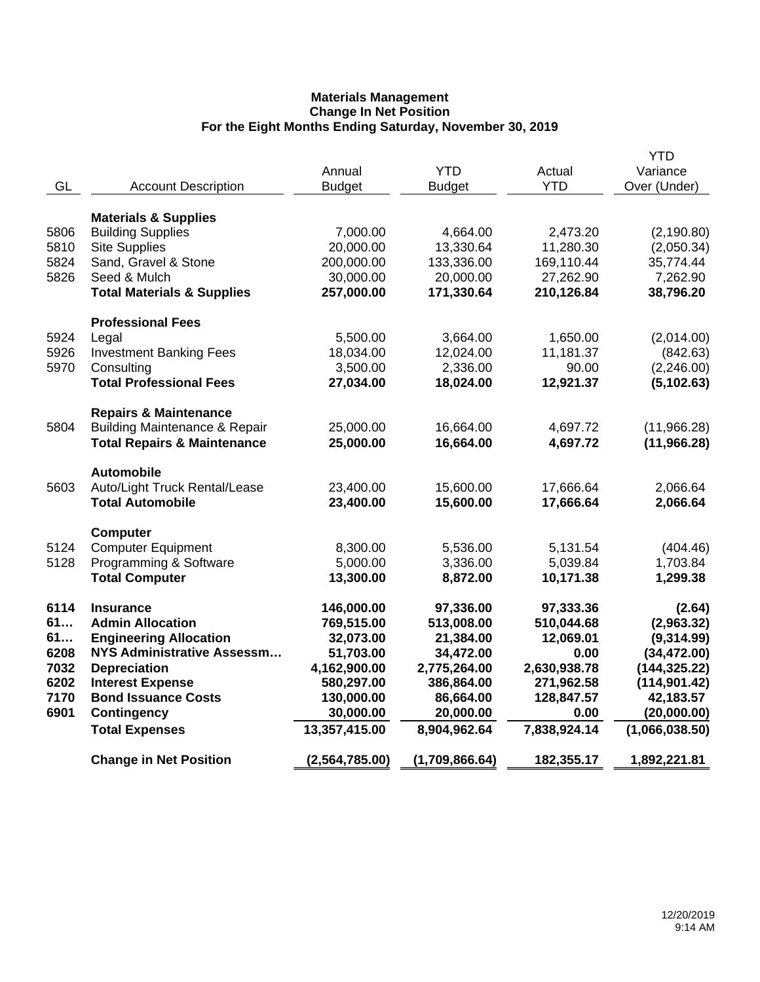| GL   | <b>Account Description</b>                            | Annual<br><b>Budget</b> | <b>YTD</b><br><b>Budget</b> | Actual<br><b>YTD</b>    | <b>YTD</b><br>Variance<br>Over (Under) |
|------|-------------------------------------------------------|-------------------------|-----------------------------|-------------------------|----------------------------------------|
|      | <b>Materials &amp; Supplies</b>                       |                         |                             |                         |                                        |
| 5806 | <b>Building Supplies</b>                              | 7,000.00                | 4,664.00                    | 2,473.20                | (2, 190.80)                            |
| 5810 | <b>Site Supplies</b>                                  | 20,000.00               | 13,330.64                   | 11,280.30               | (2,050.34)                             |
| 5824 | Sand, Gravel & Stone                                  | 200,000.00              | 133,336.00                  | 169,110.44              | 35,774.44                              |
| 5826 | Seed & Mulch<br><b>Total Materials &amp; Supplies</b> | 30,000.00<br>257,000.00 | 20,000.00<br>171,330.64     | 27,262.90<br>210,126.84 | 7,262.90<br>38,796.20                  |
|      |                                                       |                         |                             |                         |                                        |
|      | <b>Professional Fees</b>                              |                         |                             |                         |                                        |
| 5924 | Legal                                                 | 5,500.00                | 3,664.00                    | 1,650.00                | (2,014.00)                             |
| 5926 | <b>Investment Banking Fees</b>                        | 18,034.00               | 12,024.00                   | 11,181.37               | (842.63)                               |
| 5970 | Consulting                                            | 3,500.00                | 2,336.00                    | 90.00                   | (2,246.00)                             |
|      | <b>Total Professional Fees</b>                        | 27,034.00               | 18,024.00                   | 12,921.37               | (5, 102.63)                            |
|      | <b>Repairs &amp; Maintenance</b>                      |                         |                             |                         |                                        |
| 5804 | <b>Building Maintenance &amp; Repair</b>              | 25,000.00               | 16,664.00                   | 4,697.72                | (11,966.28)                            |
|      | <b>Total Repairs &amp; Maintenance</b>                | 25,000.00               | 16,664.00                   | 4,697.72                | (11,966.28)                            |
|      | <b>Automobile</b>                                     |                         |                             |                         |                                        |
| 5603 | Auto/Light Truck Rental/Lease                         | 23,400.00               | 15,600.00                   | 17,666.64               | 2,066.64                               |
|      | <b>Total Automobile</b>                               | 23,400.00               | 15,600.00                   | 17,666.64               | 2,066.64                               |
|      | <b>Computer</b>                                       |                         |                             |                         |                                        |
| 5124 | <b>Computer Equipment</b>                             | 8,300.00                | 5,536.00                    | 5,131.54                | (404.46)                               |
| 5128 | Programming & Software                                | 5,000.00                | 3,336.00                    | 5,039.84                | 1,703.84                               |
|      | <b>Total Computer</b>                                 | 13,300.00               | 8,872.00                    | 10,171.38               | 1,299.38                               |
| 6114 | <b>Insurance</b>                                      | 146,000.00              | 97,336.00                   | 97,333.36               | (2.64)                                 |
| 61   | <b>Admin Allocation</b>                               | 769,515.00              | 513,008.00                  | 510,044.68              | (2,963.32)                             |
| 61   | <b>Engineering Allocation</b>                         | 32,073.00               | 21,384.00                   | 12,069.01               | (9,314.99)                             |
| 6208 | <b>NYS Administrative Assessm</b>                     | 51,703.00               | 34,472.00                   | 0.00                    | (34, 472.00)                           |
| 7032 | <b>Depreciation</b>                                   | 4,162,900.00            | 2,775,264.00                | 2,630,938.78            | (144, 325.22)                          |
| 6202 | <b>Interest Expense</b>                               | 580,297.00              | 386,864.00                  | 271,962.58              | (114, 901.42)                          |
| 7170 | <b>Bond Issuance Costs</b>                            | 130,000.00              | 86,664.00                   | 128,847.57              | 42,183.57                              |
| 6901 | <b>Contingency</b>                                    | 30,000.00               | 20,000.00                   | 0.00                    | (20,000.00)                            |
|      | <b>Total Expenses</b>                                 | 13,357,415.00           | 8,904,962.64                | 7,838,924.14            | (1,066,038.50)                         |
|      | <b>Change in Net Position</b>                         | (2,564,785.00)          | (1,709,866.64)              | 182,355.17              | 1,892,221.81                           |
|      |                                                       |                         |                             |                         |                                        |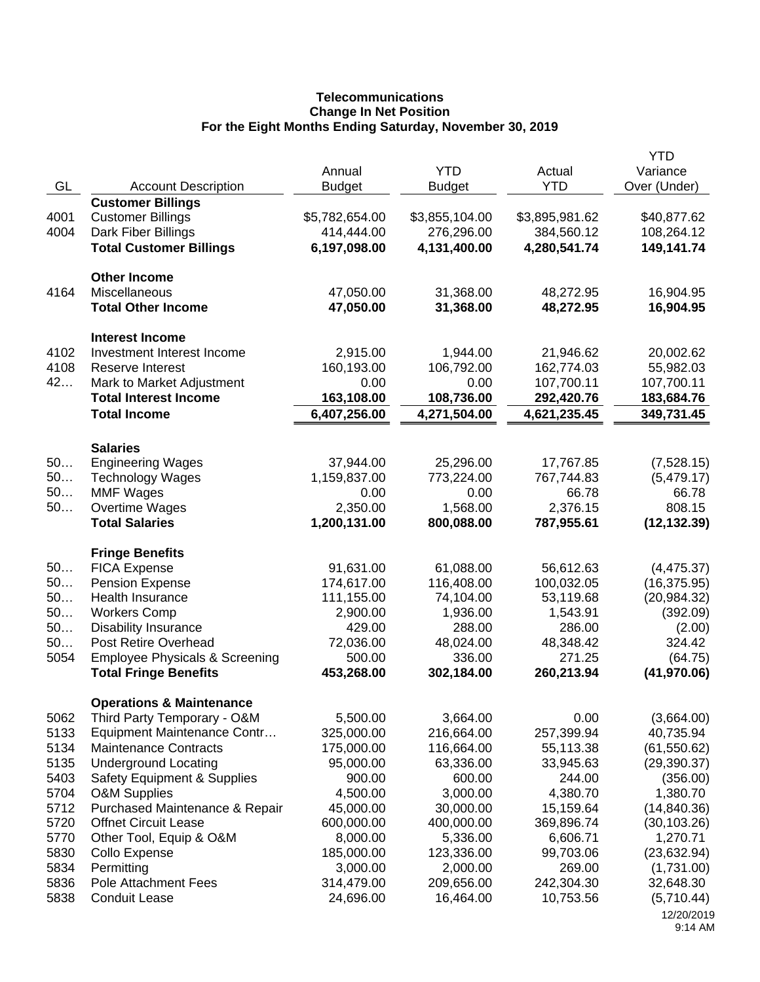# **Telecommunications Change In Net Position For the Eight Months Ending Saturday, November 30, 2019**

|          |                                                     | Annual                     | <b>YTD</b>                 | Actual                     | <b>YTD</b><br>Variance   |
|----------|-----------------------------------------------------|----------------------------|----------------------------|----------------------------|--------------------------|
| GL       | <b>Account Description</b>                          | <b>Budget</b>              | <b>Budget</b>              | <b>YTD</b>                 | Over (Under)             |
|          | <b>Customer Billings</b>                            |                            |                            |                            |                          |
| 4001     | <b>Customer Billings</b>                            | \$5,782,654.00             | \$3,855,104.00             | \$3,895,981.62             | \$40,877.62              |
| 4004     | Dark Fiber Billings                                 | 414,444.00                 | 276,296.00                 | 384,560.12                 | 108,264.12               |
|          | <b>Total Customer Billings</b>                      | 6,197,098.00               | 4,131,400.00               | 4,280,541.74               | 149,141.74               |
|          | <b>Other Income</b>                                 |                            |                            |                            |                          |
| 4164     | Miscellaneous                                       | 47,050.00                  | 31,368.00                  | 48,272.95                  | 16,904.95                |
|          | <b>Total Other Income</b>                           | 47,050.00                  | 31,368.00                  | 48,272.95                  | 16,904.95                |
|          | <b>Interest Income</b>                              |                            |                            |                            |                          |
| 4102     | Investment Interest Income                          | 2,915.00                   | 1,944.00                   | 21,946.62                  | 20,002.62                |
| 4108     | Reserve Interest                                    | 160,193.00                 | 106,792.00                 | 162,774.03                 | 55,982.03                |
| 42       | Mark to Market Adjustment                           | 0.00                       | 0.00                       | 107,700.11                 | 107,700.11               |
|          | <b>Total Interest Income</b><br><b>Total Income</b> | 163,108.00<br>6,407,256.00 | 108,736.00<br>4,271,504.00 | 292,420.76<br>4,621,235.45 | 183,684.76<br>349,731.45 |
|          |                                                     |                            |                            |                            |                          |
|          | <b>Salaries</b>                                     |                            |                            |                            |                          |
| 50<br>50 | <b>Engineering Wages</b>                            | 37,944.00<br>1,159,837.00  | 25,296.00<br>773,224.00    | 17,767.85<br>767,744.83    | (7,528.15)<br>(5,479.17) |
| 50       | <b>Technology Wages</b><br><b>MMF Wages</b>         | 0.00                       | 0.00                       | 66.78                      | 66.78                    |
| 50       | Overtime Wages                                      | 2,350.00                   | 1,568.00                   | 2,376.15                   | 808.15                   |
|          | <b>Total Salaries</b>                               | 1,200,131.00               | 800,088.00                 | 787,955.61                 | (12, 132.39)             |
|          |                                                     |                            |                            |                            |                          |
|          | <b>Fringe Benefits</b>                              |                            |                            |                            |                          |
| 50       | <b>FICA Expense</b>                                 | 91,631.00                  | 61,088.00                  | 56,612.63                  | (4, 475.37)              |
| 50<br>50 | <b>Pension Expense</b><br>Health Insurance          | 174,617.00<br>111,155.00   | 116,408.00<br>74,104.00    | 100,032.05<br>53,119.68    | (16, 375.95)             |
| 50       | <b>Workers Comp</b>                                 | 2,900.00                   | 1,936.00                   | 1,543.91                   | (20, 984.32)<br>(392.09) |
| 50       | <b>Disability Insurance</b>                         | 429.00                     | 288.00                     | 286.00                     | (2.00)                   |
| 50       | Post Retire Overhead                                | 72,036.00                  | 48,024.00                  | 48,348.42                  | 324.42                   |
| 5054     | <b>Employee Physicals &amp; Screening</b>           | 500.00                     | 336.00                     | 271.25                     | (64.75)                  |
|          | <b>Total Fringe Benefits</b>                        | 453,268.00                 | 302,184.00                 | 260,213.94                 | (41, 970.06)             |
|          | <b>Operations &amp; Maintenance</b>                 |                            |                            |                            |                          |
| 5062     | Third Party Temporary - O&M                         | 5,500.00                   | 3,664.00                   | 0.00                       | (3,664.00)               |
| 5133     | Equipment Maintenance Contr                         | 325,000.00                 | 216,664.00                 | 257,399.94                 | 40,735.94                |
| 5134     | <b>Maintenance Contracts</b>                        | 175,000.00                 | 116,664.00                 | 55,113.38                  | (61, 550.62)             |
| 5135     | <b>Underground Locating</b>                         | 95,000.00                  | 63,336.00                  | 33,945.63                  | (29, 390.37)             |
| 5403     | <b>Safety Equipment &amp; Supplies</b>              | 900.00                     | 600.00                     | 244.00                     | (356.00)                 |
| 5704     | <b>O&amp;M Supplies</b>                             | 4,500.00                   | 3,000.00                   | 4,380.70                   | 1,380.70                 |
| 5712     | Purchased Maintenance & Repair                      | 45,000.00                  | 30,000.00                  | 15,159.64                  | (14, 840.36)             |
| 5720     | <b>Offnet Circuit Lease</b>                         | 600,000.00                 | 400,000.00                 | 369,896.74                 | (30, 103.26)             |
| 5770     | Other Tool, Equip & O&M                             | 8,000.00                   | 5,336.00                   | 6,606.71                   | 1,270.71                 |
| 5830     | Collo Expense                                       | 185,000.00                 | 123,336.00                 | 99,703.06                  | (23, 632.94)             |
| 5834     | Permitting                                          | 3,000.00                   | 2,000.00                   | 269.00                     | (1,731.00)               |
| 5836     | Pole Attachment Fees                                | 314,479.00                 | 209,656.00                 | 242,304.30                 | 32,648.30                |
| 5838     | <b>Conduit Lease</b>                                | 24,696.00                  | 16,464.00                  | 10,753.56                  | (5,710.44)               |
|          |                                                     |                            |                            |                            | 12/20/2019<br>9:14 AM    |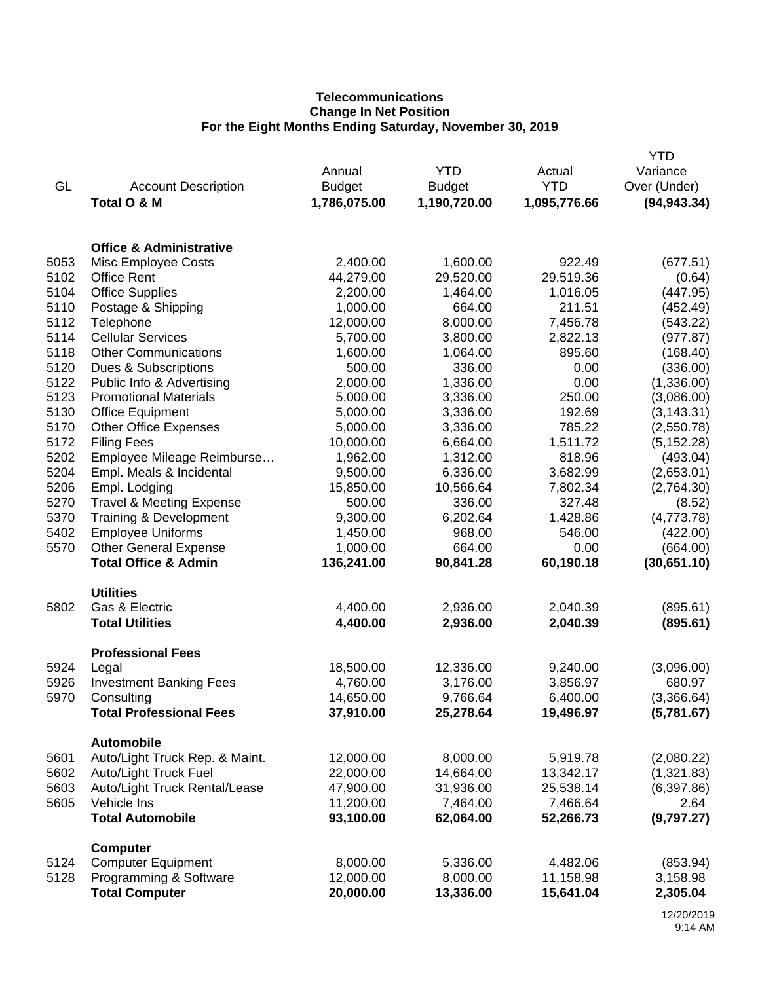# **Telecommunications Change In Net Position For the Eight Months Ending Saturday, November 30, 2019**

|      |                                     |               |               |              | <b>YTD</b>   |
|------|-------------------------------------|---------------|---------------|--------------|--------------|
|      |                                     | Annual        | <b>YTD</b>    | Actual       | Variance     |
| GL   | <b>Account Description</b>          | <b>Budget</b> | <b>Budget</b> | <b>YTD</b>   | Over (Under) |
|      | Total O & M                         | 1,786,075.00  | 1,190,720.00  | 1,095,776.66 | (94, 943.34) |
|      |                                     |               |               |              |              |
|      | <b>Office &amp; Administrative</b>  |               |               |              |              |
| 5053 | Misc Employee Costs                 | 2,400.00      | 1,600.00      | 922.49       | (677.51)     |
| 5102 | <b>Office Rent</b>                  | 44,279.00     | 29,520.00     | 29,519.36    | (0.64)       |
| 5104 | <b>Office Supplies</b>              | 2,200.00      | 1,464.00      | 1,016.05     | (447.95)     |
| 5110 | Postage & Shipping                  | 1,000.00      | 664.00        | 211.51       | (452.49)     |
| 5112 | Telephone                           | 12,000.00     | 8,000.00      | 7,456.78     | (543.22)     |
| 5114 | <b>Cellular Services</b>            | 5,700.00      | 3,800.00      | 2,822.13     | (977.87)     |
| 5118 | <b>Other Communications</b>         | 1,600.00      | 1,064.00      | 895.60       | (168.40)     |
| 5120 | Dues & Subscriptions                | 500.00        | 336.00        | 0.00         | (336.00)     |
| 5122 | Public Info & Advertising           | 2,000.00      | 1,336.00      | 0.00         | (1,336.00)   |
| 5123 | <b>Promotional Materials</b>        | 5,000.00      | 3,336.00      | 250.00       | (3,086.00)   |
| 5130 | <b>Office Equipment</b>             | 5,000.00      | 3,336.00      | 192.69       | (3, 143.31)  |
| 5170 | <b>Other Office Expenses</b>        | 5,000.00      | 3,336.00      | 785.22       | (2,550.78)   |
| 5172 | <b>Filing Fees</b>                  | 10,000.00     | 6,664.00      | 1,511.72     | (5, 152.28)  |
| 5202 | Employee Mileage Reimburse          | 1,962.00      | 1,312.00      | 818.96       | (493.04)     |
| 5204 | Empl. Meals & Incidental            | 9,500.00      | 6,336.00      | 3,682.99     | (2,653.01)   |
| 5206 | Empl. Lodging                       | 15,850.00     | 10,566.64     | 7,802.34     | (2,764.30)   |
| 5270 | <b>Travel &amp; Meeting Expense</b> | 500.00        | 336.00        | 327.48       | (8.52)       |
| 5370 | Training & Development              | 9,300.00      | 6,202.64      | 1,428.86     | (4,773.78)   |
| 5402 | <b>Employee Uniforms</b>            | 1,450.00      | 968.00        | 546.00       | (422.00)     |
| 5570 | <b>Other General Expense</b>        | 1,000.00      | 664.00        | 0.00         | (664.00)     |
|      | <b>Total Office &amp; Admin</b>     | 136,241.00    | 90,841.28     | 60,190.18    | (30,651.10)  |
|      | <b>Utilities</b>                    |               |               |              |              |
| 5802 | Gas & Electric                      | 4,400.00      | 2,936.00      | 2,040.39     | (895.61)     |
|      | <b>Total Utilities</b>              | 4,400.00      | 2,936.00      | 2,040.39     | (895.61)     |
|      | <b>Professional Fees</b>            |               |               |              |              |
| 5924 | Legal                               | 18,500.00     | 12,336.00     | 9,240.00     | (3,096.00)   |
| 5926 | <b>Investment Banking Fees</b>      | 4,760.00      | 3,176.00      | 3,856.97     | 680.97       |
| 5970 | Consulting                          | 14,650.00     | 9,766.64      | 6,400.00     | (3,366.64)   |
|      | <b>Total Professional Fees</b>      | 37,910.00     | 25,278.64     | 19,496.97    | (5,781.67)   |
|      | <b>Automobile</b>                   |               |               |              |              |
| 5601 | Auto/Light Truck Rep. & Maint.      | 12,000.00     | 8,000.00      | 5,919.78     | (2,080.22)   |
| 5602 | Auto/Light Truck Fuel               | 22,000.00     | 14,664.00     | 13,342.17    | (1,321.83)   |
| 5603 | Auto/Light Truck Rental/Lease       | 47,900.00     | 31,936.00     | 25,538.14    | (6,397.86)   |
| 5605 | Vehicle Ins                         | 11,200.00     | 7,464.00      | 7,466.64     | 2.64         |
|      | <b>Total Automobile</b>             | 93,100.00     | 62,064.00     | 52,266.73    | (9,797.27)   |
| 5124 | <b>Computer</b>                     |               |               |              |              |
|      | <b>Computer Equipment</b>           | 8,000.00      | 5,336.00      | 4,482.06     | (853.94)     |
| 5128 | Programming & Software              | 12,000.00     | 8,000.00      | 11,158.98    | 3,158.98     |
|      | <b>Total Computer</b>               | 20,000.00     | 13,336.00     | 15,641.04    | 2,305.04     |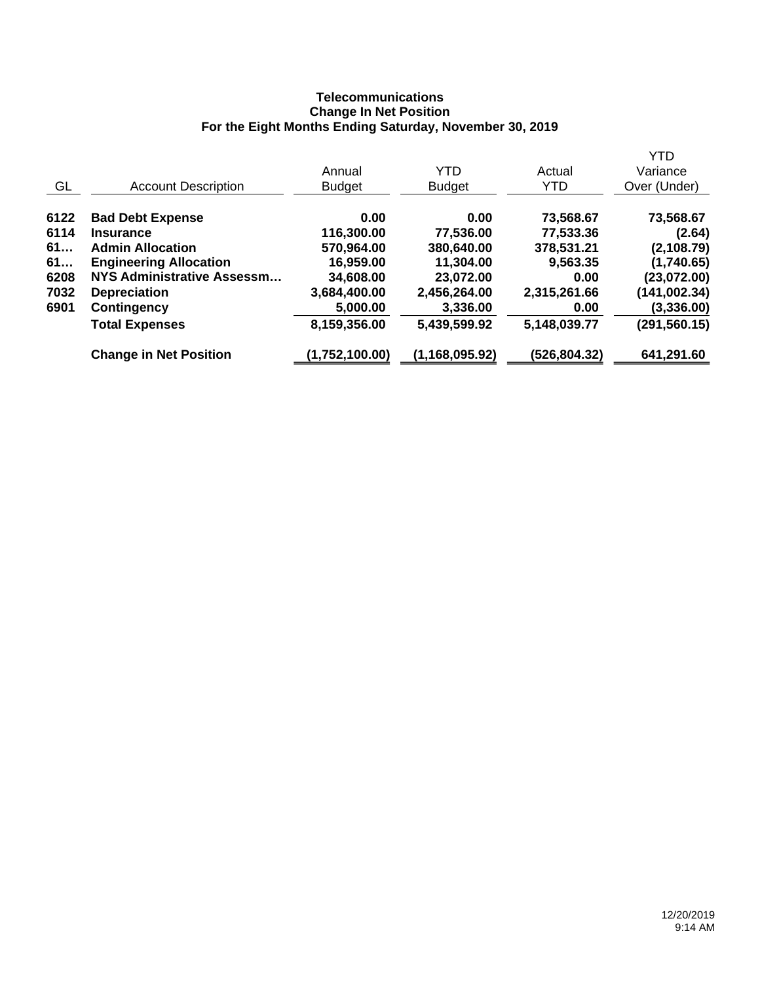## **Telecommunications Change In Net Position For the Eight Months Ending Saturday, November 30, 2019**

|      |                               | Annual         | YTD            | Actual       | <b>YTD</b><br>Variance |
|------|-------------------------------|----------------|----------------|--------------|------------------------|
| GL   | <b>Account Description</b>    | <b>Budget</b>  | <b>Budget</b>  | YTD          | Over (Under)           |
| 6122 | <b>Bad Debt Expense</b>       | 0.00           | 0.00           | 73,568.67    | 73,568.67              |
| 6114 | <b>Insurance</b>              | 116,300.00     | 77,536.00      | 77,533.36    | (2.64)                 |
| 61   | <b>Admin Allocation</b>       | 570,964.00     | 380,640.00     | 378,531.21   | (2, 108.79)            |
| 61   | <b>Engineering Allocation</b> | 16,959.00      | 11,304.00      | 9,563.35     | (1,740.65)             |
| 6208 | NYS Administrative Assessm    | 34,608.00      | 23,072.00      | 0.00         | (23,072.00)            |
| 7032 | <b>Depreciation</b>           | 3,684,400.00   | 2,456,264.00   | 2,315,261.66 | (141,002.34)           |
| 6901 | Contingency                   | 5,000.00       | 3,336.00       | 0.00         | (3,336.00)             |
|      | <b>Total Expenses</b>         | 8,159,356.00   | 5,439,599.92   | 5,148,039.77 | (291,560.15)           |
|      | <b>Change in Net Position</b> | (1,752,100.00) | (1,168,095.92) | (526,804.32) | 641,291.60             |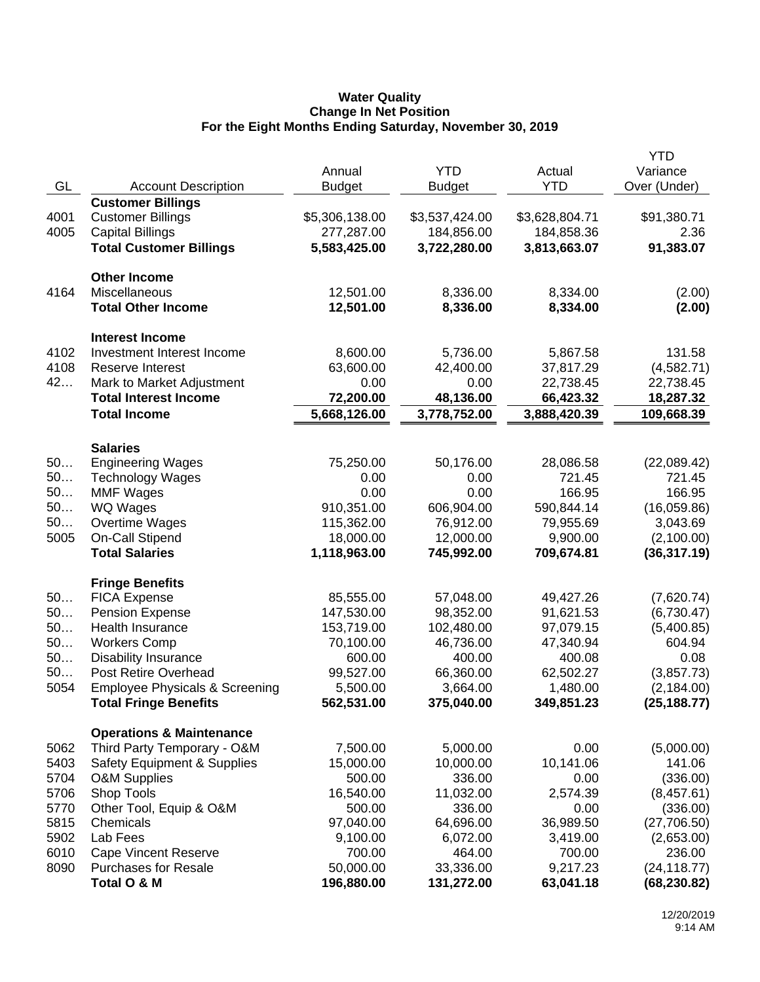### **Water Quality Change In Net Position For the Eight Months Ending Saturday, November 30, 2019**

|      |                                                                    |                        |                    |                    | <b>YTD</b>           |
|------|--------------------------------------------------------------------|------------------------|--------------------|--------------------|----------------------|
|      |                                                                    | Annual                 | <b>YTD</b>         | Actual             | Variance             |
| GL   | <b>Account Description</b>                                         | <b>Budget</b>          | <b>Budget</b>      | <b>YTD</b>         | Over (Under)         |
|      | <b>Customer Billings</b>                                           |                        |                    |                    |                      |
| 4001 | <b>Customer Billings</b>                                           | \$5,306,138.00         | \$3,537,424.00     | \$3,628,804.71     | \$91,380.71          |
| 4005 | <b>Capital Billings</b>                                            | 277,287.00             | 184,856.00         | 184,858.36         | 2.36                 |
|      | <b>Total Customer Billings</b>                                     | 5,583,425.00           | 3,722,280.00       | 3,813,663.07       | 91,383.07            |
|      |                                                                    |                        |                    |                    |                      |
|      | <b>Other Income</b><br>Miscellaneous                               |                        | 8,336.00           |                    | (2.00)               |
| 4164 | <b>Total Other Income</b>                                          | 12,501.00<br>12,501.00 |                    | 8,334.00           |                      |
|      |                                                                    |                        | 8,336.00           | 8,334.00           | (2.00)               |
|      | <b>Interest Income</b>                                             |                        |                    |                    |                      |
| 4102 | Investment Interest Income                                         | 8,600.00               | 5,736.00           | 5,867.58           | 131.58               |
| 4108 | Reserve Interest                                                   | 63,600.00              | 42,400.00          | 37,817.29          | (4,582.71)           |
| 42   | Mark to Market Adjustment                                          | 0.00                   | 0.00               | 22,738.45          | 22,738.45            |
|      | <b>Total Interest Income</b>                                       | 72,200.00              | 48,136.00          | 66,423.32          | 18,287.32            |
|      | <b>Total Income</b>                                                | 5,668,126.00           | 3,778,752.00       | 3,888,420.39       | 109,668.39           |
|      |                                                                    |                        |                    |                    |                      |
|      | <b>Salaries</b>                                                    |                        |                    |                    |                      |
| 50   | <b>Engineering Wages</b>                                           | 75,250.00              | 50,176.00          | 28,086.58          | (22,089.42)          |
| 50   | <b>Technology Wages</b>                                            | 0.00                   | 0.00               | 721.45             | 721.45               |
| 50   | <b>MMF Wages</b>                                                   | 0.00                   | 0.00               | 166.95             | 166.95               |
| 50   | WQ Wages                                                           | 910,351.00             | 606,904.00         | 590,844.14         | (16,059.86)          |
| 50   | Overtime Wages                                                     | 115,362.00             | 76,912.00          | 79,955.69          | 3,043.69             |
| 5005 | On-Call Stipend                                                    | 18,000.00              | 12,000.00          | 9,900.00           | (2,100.00)           |
|      | <b>Total Salaries</b>                                              | 1,118,963.00           | 745,992.00         | 709,674.81         | (36, 317.19)         |
|      | <b>Fringe Benefits</b>                                             |                        |                    |                    |                      |
| 50   | <b>FICA Expense</b>                                                | 85,555.00              | 57,048.00          | 49,427.26          | (7,620.74)           |
| 50   | <b>Pension Expense</b>                                             | 147,530.00             | 98,352.00          | 91,621.53          | (6,730.47)           |
| 50   | Health Insurance                                                   | 153,719.00             | 102,480.00         | 97,079.15          | (5,400.85)           |
| 50   | <b>Workers Comp</b>                                                | 70,100.00              | 46,736.00          | 47,340.94          | 604.94               |
| 50   | <b>Disability Insurance</b>                                        | 600.00                 | 400.00             | 400.08             | 0.08                 |
| 50   | Post Retire Overhead                                               | 99,527.00              | 66,360.00          | 62,502.27          | (3,857.73)           |
| 5054 | <b>Employee Physicals &amp; Screening</b>                          | 5,500.00               | 3,664.00           | 1,480.00           | (2, 184.00)          |
|      | <b>Total Fringe Benefits</b>                                       | 562,531.00             | 375,040.00         | 349,851.23         | (25, 188.77)         |
|      |                                                                    |                        |                    |                    |                      |
| 5062 | <b>Operations &amp; Maintenance</b><br>Third Party Temporary - O&M | 7,500.00               | 5,000.00           | 0.00               | (5,000.00)           |
| 5403 | <b>Safety Equipment &amp; Supplies</b>                             | 15,000.00              | 10,000.00          | 10,141.06          | 141.06               |
| 5704 | <b>O&amp;M Supplies</b>                                            | 500.00                 | 336.00             | 0.00               | (336.00)             |
| 5706 |                                                                    |                        | 11,032.00          |                    |                      |
| 5770 | Shop Tools                                                         | 16,540.00<br>500.00    | 336.00             | 2,574.39<br>0.00   | (8,457.61)           |
| 5815 | Other Tool, Equip & O&M<br>Chemicals                               |                        | 64,696.00          | 36,989.50          | (336.00)             |
| 5902 | Lab Fees                                                           | 97,040.00<br>9,100.00  |                    |                    | (27,706.50)          |
| 6010 | <b>Cape Vincent Reserve</b>                                        | 700.00                 | 6,072.00<br>464.00 | 3,419.00<br>700.00 | (2,653.00)<br>236.00 |
| 8090 | <b>Purchases for Resale</b>                                        | 50,000.00              | 33,336.00          | 9,217.23           | (24, 118.77)         |
|      |                                                                    | 196,880.00             |                    |                    |                      |
|      | Total O & M                                                        |                        | 131,272.00         | 63,041.18          | (68, 230.82)         |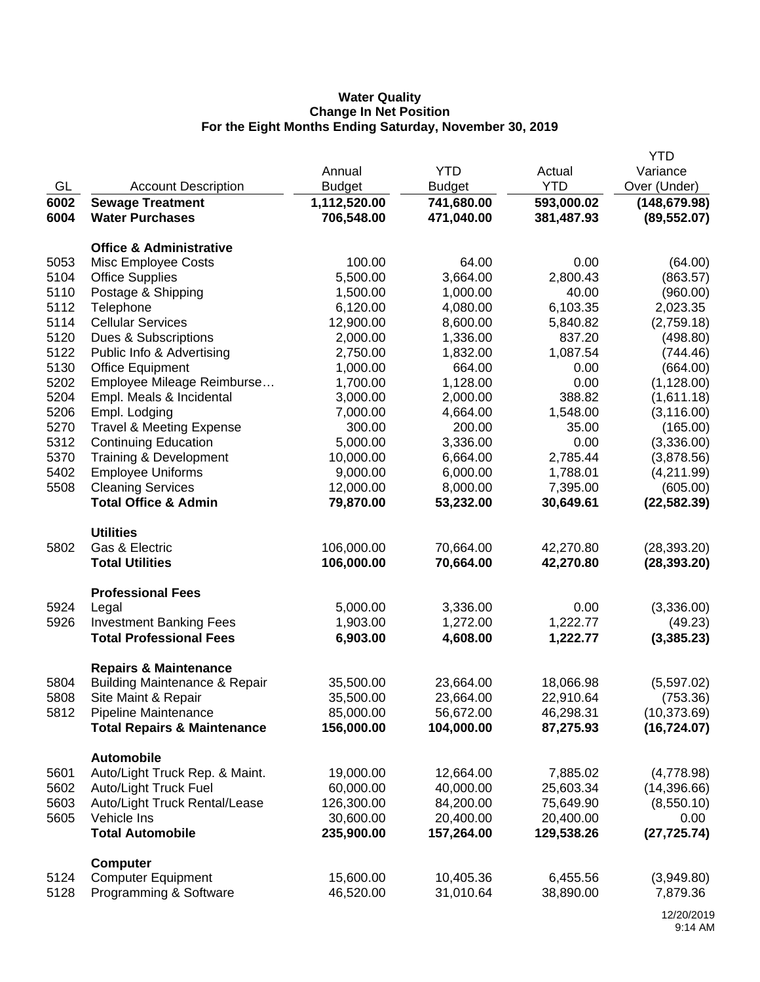## **Water Quality Change In Net Position For the Eight Months Ending Saturday, November 30, 2019**

|      |                                          |               |               |            | <b>YTD</b>    |
|------|------------------------------------------|---------------|---------------|------------|---------------|
|      |                                          | Annual        | <b>YTD</b>    | Actual     | Variance      |
| GL   | <b>Account Description</b>               | <b>Budget</b> | <b>Budget</b> | <b>YTD</b> | Over (Under)  |
| 6002 | <b>Sewage Treatment</b>                  | 1,112,520.00  | 741,680.00    | 593,000.02 | (148, 679.98) |
| 6004 | <b>Water Purchases</b>                   | 706,548.00    | 471,040.00    | 381,487.93 | (89, 552.07)  |
|      |                                          |               |               |            |               |
|      | <b>Office &amp; Administrative</b>       |               |               |            |               |
| 5053 | Misc Employee Costs                      | 100.00        | 64.00         | 0.00       | (64.00)       |
| 5104 | <b>Office Supplies</b>                   | 5,500.00      | 3,664.00      | 2,800.43   | (863.57)      |
| 5110 | Postage & Shipping                       | 1,500.00      | 1,000.00      | 40.00      | (960.00)      |
| 5112 | Telephone                                | 6,120.00      | 4,080.00      | 6,103.35   | 2,023.35      |
| 5114 | <b>Cellular Services</b>                 | 12,900.00     | 8,600.00      | 5,840.82   | (2,759.18)    |
| 5120 | Dues & Subscriptions                     | 2,000.00      | 1,336.00      | 837.20     | (498.80)      |
| 5122 | Public Info & Advertising                | 2,750.00      | 1,832.00      | 1,087.54   | (744.46)      |
| 5130 | <b>Office Equipment</b>                  | 1,000.00      | 664.00        | 0.00       | (664.00)      |
| 5202 | Employee Mileage Reimburse               | 1,700.00      | 1,128.00      | 0.00       | (1, 128.00)   |
| 5204 | Empl. Meals & Incidental                 | 3,000.00      | 2,000.00      | 388.82     | (1,611.18)    |
| 5206 | Empl. Lodging                            | 7,000.00      | 4,664.00      | 1,548.00   | (3, 116.00)   |
| 5270 | <b>Travel &amp; Meeting Expense</b>      | 300.00        | 200.00        | 35.00      | (165.00)      |
| 5312 | <b>Continuing Education</b>              | 5,000.00      | 3,336.00      | 0.00       | (3,336.00)    |
| 5370 | Training & Development                   | 10,000.00     | 6,664.00      | 2,785.44   | (3,878.56)    |
| 5402 | <b>Employee Uniforms</b>                 | 9,000.00      | 6,000.00      | 1,788.01   | (4,211.99)    |
| 5508 | <b>Cleaning Services</b>                 | 12,000.00     | 8,000.00      | 7,395.00   | (605.00)      |
|      | <b>Total Office &amp; Admin</b>          | 79,870.00     | 53,232.00     | 30,649.61  | (22, 582.39)  |
|      |                                          |               |               |            |               |
|      | <b>Utilities</b>                         |               |               |            |               |
| 5802 | Gas & Electric                           | 106,000.00    | 70,664.00     | 42,270.80  | (28, 393.20)  |
|      | <b>Total Utilities</b>                   | 106,000.00    | 70,664.00     | 42,270.80  | (28, 393.20)  |
|      | <b>Professional Fees</b>                 |               |               |            |               |
| 5924 | Legal                                    | 5,000.00      | 3,336.00      | 0.00       | (3,336.00)    |
| 5926 | <b>Investment Banking Fees</b>           | 1,903.00      | 1,272.00      | 1,222.77   | (49.23)       |
|      | <b>Total Professional Fees</b>           | 6,903.00      | 4,608.00      | 1,222.77   | (3,385.23)    |
|      |                                          |               |               |            |               |
|      | <b>Repairs &amp; Maintenance</b>         |               |               |            |               |
| 5804 | <b>Building Maintenance &amp; Repair</b> | 35,500.00     | 23,664.00     | 18,066.98  | (5,597.02)    |
| 5808 | Site Maint & Repair                      | 35,500.00     | 23,664.00     | 22,910.64  | (753.36)      |
| 5812 | Pipeline Maintenance                     | 85,000.00     | 56,672.00     | 46,298.31  | (10, 373.69)  |
|      | <b>Total Repairs &amp; Maintenance</b>   | 156,000.00    | 104,000.00    | 87,275.93  | (16, 724.07)  |
|      |                                          |               |               |            |               |
|      | <b>Automobile</b>                        |               |               |            |               |
| 5601 | Auto/Light Truck Rep. & Maint.           | 19,000.00     | 12,664.00     | 7,885.02   | (4,778.98)    |
| 5602 | <b>Auto/Light Truck Fuel</b>             | 60,000.00     | 40,000.00     | 25,603.34  | (14,396.66)   |
| 5603 | Auto/Light Truck Rental/Lease            | 126,300.00    | 84,200.00     | 75,649.90  | (8,550.10)    |
| 5605 | Vehicle Ins                              | 30,600.00     | 20,400.00     | 20,400.00  | 0.00          |
|      | <b>Total Automobile</b>                  | 235,900.00    | 157,264.00    | 129,538.26 | (27, 725.74)  |
|      | <b>Computer</b>                          |               |               |            |               |
| 5124 | <b>Computer Equipment</b>                | 15,600.00     | 10,405.36     | 6,455.56   | (3,949.80)    |
| 5128 | Programming & Software                   | 46,520.00     | 31,010.64     | 38,890.00  | 7,879.36      |
|      |                                          |               |               |            |               |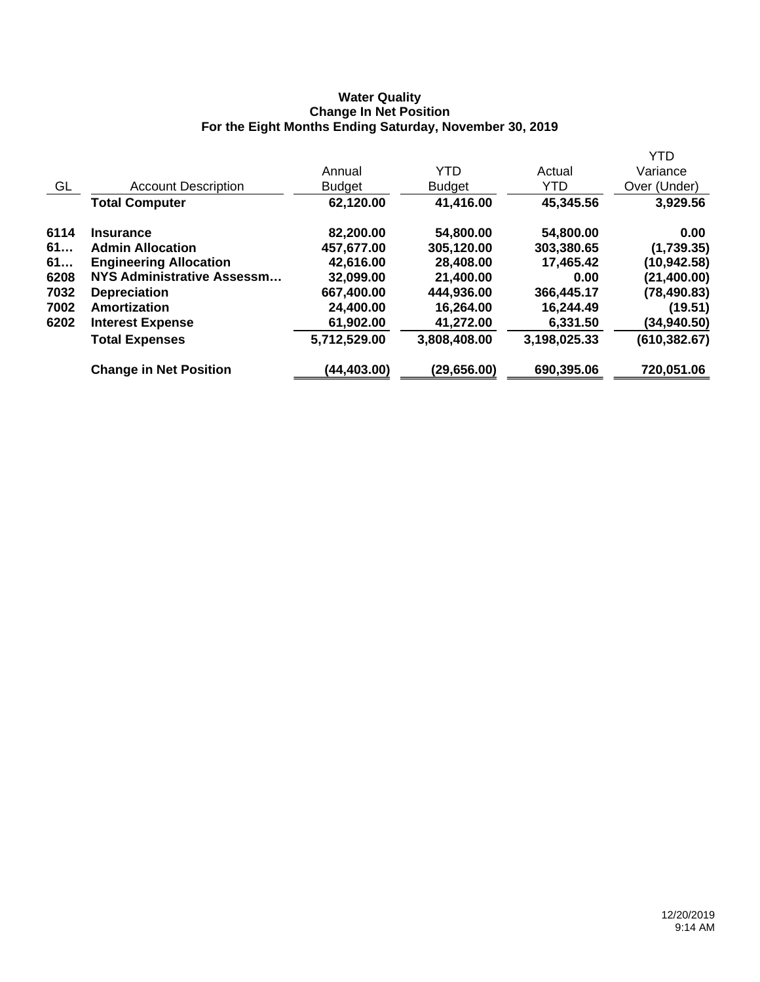### **Water Quality Change In Net Position For the Eight Months Ending Saturday, November 30, 2019**

|      |                               |               |               |              | <b>YTD</b>    |
|------|-------------------------------|---------------|---------------|--------------|---------------|
|      |                               | Annual        | <b>YTD</b>    | Actual       | Variance      |
| GL   | <b>Account Description</b>    | <b>Budget</b> | <b>Budget</b> | <b>YTD</b>   | Over (Under)  |
|      | <b>Total Computer</b>         | 62,120.00     | 41,416.00     | 45,345.56    | 3,929.56      |
| 6114 | <b>Insurance</b>              | 82,200.00     | 54,800.00     | 54,800.00    | 0.00          |
| 61   | <b>Admin Allocation</b>       | 457,677.00    | 305,120.00    | 303,380.65   | (1,739.35)    |
| 61   | <b>Engineering Allocation</b> | 42,616.00     | 28,408.00     | 17,465.42    | (10, 942.58)  |
| 6208 | NYS Administrative Assessm    | 32,099.00     | 21,400.00     | 0.00         | (21, 400.00)  |
| 7032 | <b>Depreciation</b>           | 667,400.00    | 444,936.00    | 366,445.17   | (78, 490.83)  |
| 7002 | Amortization                  | 24,400.00     | 16,264.00     | 16,244.49    | (19.51)       |
| 6202 | <b>Interest Expense</b>       | 61,902.00     | 41,272.00     | 6,331.50     | (34,940.50)   |
|      | <b>Total Expenses</b>         | 5,712,529.00  | 3,808,408.00  | 3,198,025.33 | (610, 382.67) |
|      | <b>Change in Net Position</b> | (44,403.00)   | (29, 656.00)  | 690,395.06   | 720,051.06    |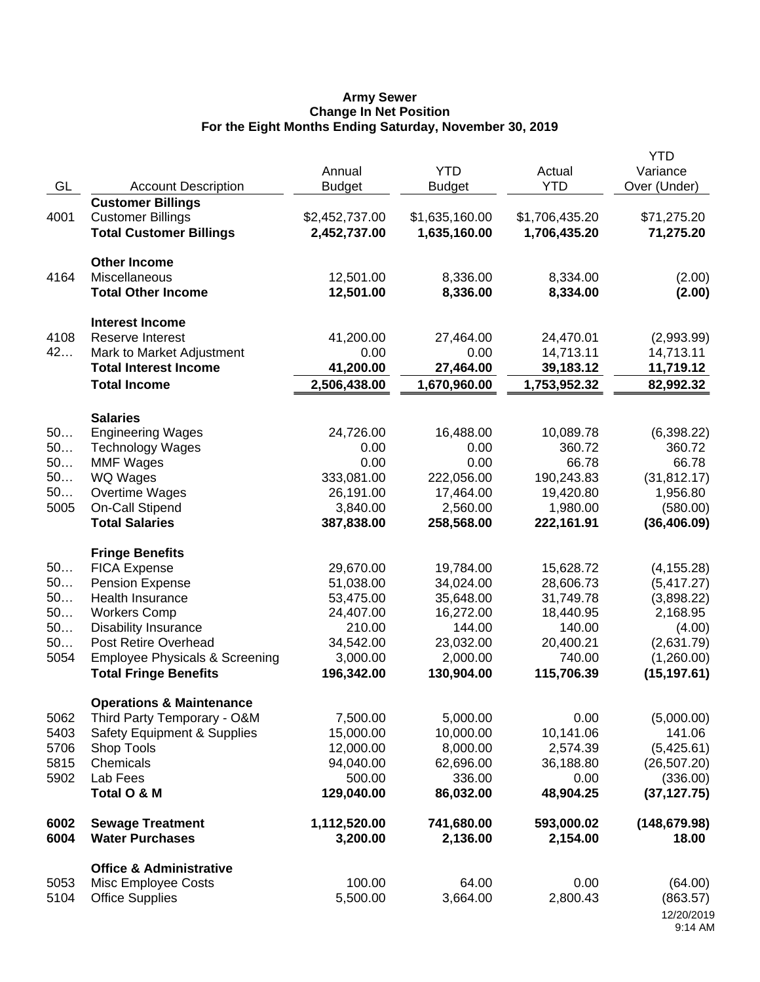#### **Army Sewer Change In Net Position For the Eight Months Ending Saturday, November 30, 2019**

| GL                                       | <b>Account Description</b>                                                                                                                                                                                                                             | Annual<br><b>Budget</b>                                                                           | <b>YTD</b><br><b>Budget</b>                                                                       | Actual<br><b>YTD</b>                                                                            | <b>YTD</b><br>Variance<br>Over (Under)                                                                     |
|------------------------------------------|--------------------------------------------------------------------------------------------------------------------------------------------------------------------------------------------------------------------------------------------------------|---------------------------------------------------------------------------------------------------|---------------------------------------------------------------------------------------------------|-------------------------------------------------------------------------------------------------|------------------------------------------------------------------------------------------------------------|
| 4001                                     | <b>Customer Billings</b><br><b>Customer Billings</b><br><b>Total Customer Billings</b>                                                                                                                                                                 | \$2,452,737.00<br>2,452,737.00                                                                    | \$1,635,160.00<br>1,635,160.00                                                                    | \$1,706,435.20<br>1,706,435.20                                                                  | \$71,275.20<br>71,275.20                                                                                   |
| 4164                                     | <b>Other Income</b><br><b>Miscellaneous</b><br><b>Total Other Income</b>                                                                                                                                                                               | 12,501.00<br>12,501.00                                                                            | 8,336.00<br>8,336.00                                                                              | 8,334.00<br>8,334.00                                                                            | (2.00)<br>(2.00)                                                                                           |
| 4108<br>42                               | <b>Interest Income</b><br>Reserve Interest<br>Mark to Market Adjustment<br><b>Total Interest Income</b><br><b>Total Income</b>                                                                                                                         | 41,200.00<br>0.00<br>41,200.00<br>2,506,438.00                                                    | 27,464.00<br>0.00<br>27,464.00<br>1,670,960.00                                                    | 24,470.01<br>14,713.11<br>39,183.12<br>1,753,952.32                                             | (2,993.99)<br>14,713.11<br>11,719.12<br>82,992.32                                                          |
| 50<br>50<br>50<br>50<br>50<br>5005       | <b>Salaries</b><br><b>Engineering Wages</b><br><b>Technology Wages</b><br><b>MMF Wages</b><br><b>WQ Wages</b><br>Overtime Wages<br><b>On-Call Stipend</b><br><b>Total Salaries</b>                                                                     | 24,726.00<br>0.00<br>0.00<br>333,081.00<br>26,191.00<br>3,840.00<br>387,838.00                    | 16,488.00<br>0.00<br>0.00<br>222,056.00<br>17,464.00<br>2,560.00<br>258,568.00                    | 10,089.78<br>360.72<br>66.78<br>190,243.83<br>19,420.80<br>1,980.00<br>222,161.91               | (6,398.22)<br>360.72<br>66.78<br>(31, 812.17)<br>1,956.80<br>(580.00)<br>(36, 406.09)                      |
| 50<br>50<br>50<br>50<br>50<br>50<br>5054 | <b>Fringe Benefits</b><br><b>FICA Expense</b><br><b>Pension Expense</b><br>Health Insurance<br><b>Workers Comp</b><br><b>Disability Insurance</b><br>Post Retire Overhead<br><b>Employee Physicals &amp; Screening</b><br><b>Total Fringe Benefits</b> | 29,670.00<br>51,038.00<br>53,475.00<br>24,407.00<br>210.00<br>34,542.00<br>3,000.00<br>196,342.00 | 19,784.00<br>34,024.00<br>35,648.00<br>16,272.00<br>144.00<br>23,032.00<br>2,000.00<br>130,904.00 | 15,628.72<br>28,606.73<br>31,749.78<br>18,440.95<br>140.00<br>20,400.21<br>740.00<br>115,706.39 | (4, 155.28)<br>(5, 417.27)<br>(3,898.22)<br>2,168.95<br>(4.00)<br>(2,631.79)<br>(1,260.00)<br>(15, 197.61) |
| 5062<br>5403<br>5706<br>5815<br>5902     | <b>Operations &amp; Maintenance</b><br>Third Party Temporary - O&M<br><b>Safety Equipment &amp; Supplies</b><br>Shop Tools<br>Chemicals<br>Lab Fees<br>Total O & M                                                                                     | 7,500.00<br>15,000.00<br>12,000.00<br>94,040.00<br>500.00<br>129,040.00                           | 5,000.00<br>10,000.00<br>8,000.00<br>62,696.00<br>336.00<br>86,032.00                             | 0.00<br>10,141.06<br>2,574.39<br>36,188.80<br>0.00<br>48,904.25                                 | (5,000.00)<br>141.06<br>(5,425.61)<br>(26, 507.20)<br>(336.00)<br>(37, 127.75)                             |
| 6002<br>6004                             | <b>Sewage Treatment</b><br><b>Water Purchases</b>                                                                                                                                                                                                      | 1,112,520.00<br>3,200.00                                                                          | 741,680.00<br>2,136.00                                                                            | 593,000.02<br>2,154.00                                                                          | (148, 679.98)<br>18.00                                                                                     |
| 5053<br>5104                             | <b>Office &amp; Administrative</b><br>Misc Employee Costs<br><b>Office Supplies</b>                                                                                                                                                                    | 100.00<br>5,500.00                                                                                | 64.00<br>3,664.00                                                                                 | 0.00<br>2,800.43                                                                                | (64.00)<br>(863.57)<br>12/20/2019<br>9:14 AM                                                               |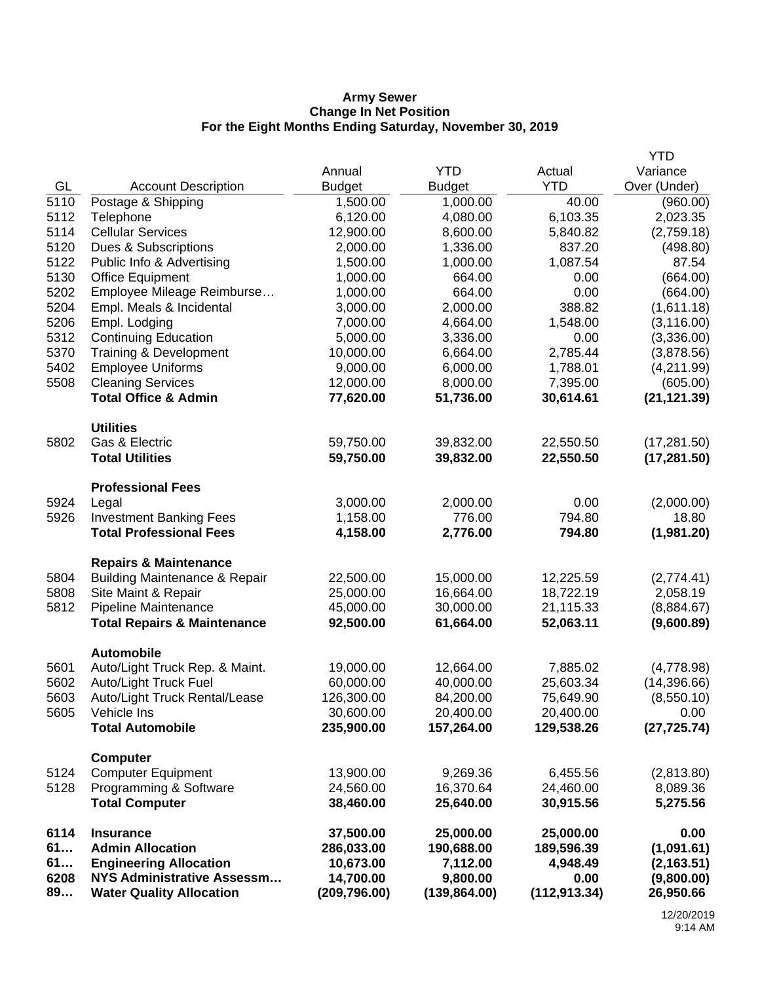#### **Army Sewer Change In Net Position For the Eight Months Ending Saturday, November 30, 2019**

|      |                                          |               |               |               | <b>YTD</b>   |
|------|------------------------------------------|---------------|---------------|---------------|--------------|
|      |                                          | Annual        | <b>YTD</b>    | Actual        | Variance     |
| GL   | <b>Account Description</b>               | <b>Budget</b> | <b>Budget</b> | <b>YTD</b>    | Over (Under) |
| 5110 | Postage & Shipping                       | 1,500.00      | 1,000.00      | 40.00         | (960.00)     |
| 5112 | Telephone                                | 6,120.00      | 4,080.00      | 6,103.35      | 2,023.35     |
| 5114 | <b>Cellular Services</b>                 | 12,900.00     | 8,600.00      | 5,840.82      | (2,759.18)   |
| 5120 | Dues & Subscriptions                     | 2,000.00      | 1,336.00      | 837.20        | (498.80)     |
| 5122 | Public Info & Advertising                | 1,500.00      | 1,000.00      | 1,087.54      | 87.54        |
| 5130 | <b>Office Equipment</b>                  | 1,000.00      | 664.00        | 0.00          | (664.00)     |
| 5202 | Employee Mileage Reimburse               | 1,000.00      | 664.00        | 0.00          | (664.00)     |
| 5204 | Empl. Meals & Incidental                 | 3,000.00      | 2,000.00      | 388.82        | (1,611.18)   |
| 5206 | Empl. Lodging                            | 7,000.00      | 4,664.00      | 1,548.00      | (3, 116.00)  |
| 5312 | <b>Continuing Education</b>              | 5,000.00      | 3,336.00      | 0.00          | (3,336.00)   |
| 5370 | Training & Development                   | 10,000.00     | 6,664.00      | 2,785.44      | (3,878.56)   |
| 5402 | <b>Employee Uniforms</b>                 | 9,000.00      | 6,000.00      | 1,788.01      | (4,211.99)   |
| 5508 | <b>Cleaning Services</b>                 | 12,000.00     | 8,000.00      | 7,395.00      | (605.00)     |
|      | <b>Total Office &amp; Admin</b>          | 77,620.00     | 51,736.00     | 30,614.61     | (21, 121.39) |
|      | <b>Utilities</b>                         |               |               |               |              |
| 5802 | Gas & Electric                           | 59,750.00     | 39,832.00     | 22,550.50     | (17, 281.50) |
|      | <b>Total Utilities</b>                   | 59,750.00     | 39,832.00     | 22,550.50     | (17, 281.50) |
|      | <b>Professional Fees</b>                 |               |               |               |              |
| 5924 | Legal                                    | 3,000.00      | 2,000.00      | 0.00          | (2,000.00)   |
| 5926 | <b>Investment Banking Fees</b>           | 1,158.00      | 776.00        | 794.80        | 18.80        |
|      | <b>Total Professional Fees</b>           | 4,158.00      | 2,776.00      | 794.80        | (1,981.20)   |
|      | <b>Repairs &amp; Maintenance</b>         |               |               |               |              |
| 5804 | <b>Building Maintenance &amp; Repair</b> | 22,500.00     | 15,000.00     | 12,225.59     | (2,774.41)   |
| 5808 | Site Maint & Repair                      | 25,000.00     | 16,664.00     | 18,722.19     | 2,058.19     |
| 5812 | Pipeline Maintenance                     | 45,000.00     | 30,000.00     | 21,115.33     | (8,884.67)   |
|      | <b>Total Repairs &amp; Maintenance</b>   | 92,500.00     | 61,664.00     | 52,063.11     | (9,600.89)   |
|      | <b>Automobile</b>                        |               |               |               |              |
| 5601 | Auto/Light Truck Rep. & Maint.           | 19,000.00     | 12,664.00     | 7,885.02      | (4,778.98)   |
| 5602 | Auto/Light Truck Fuel                    | 60,000.00     | 40,000.00     | 25,603.34     | (14,396.66)  |
| 5603 | Auto/Light Truck Rental/Lease            | 126,300.00    | 84,200.00     | 75,649.90     | (8,550.10)   |
| 5605 | Vehicle Ins                              | 30,600.00     | 20,400.00     | 20,400.00     | 0.00         |
|      | <b>Total Automobile</b>                  | 235,900.00    | 157,264.00    | 129,538.26    | (27, 725.74) |
|      | <b>Computer</b>                          |               |               |               |              |
| 5124 | <b>Computer Equipment</b>                | 13,900.00     | 9,269.36      | 6,455.56      | (2,813.80)   |
| 5128 | Programming & Software                   | 24,560.00     | 16,370.64     | 24,460.00     | 8,089.36     |
|      | <b>Total Computer</b>                    | 38,460.00     | 25,640.00     | 30,915.56     | 5,275.56     |
| 6114 | <b>Insurance</b>                         | 37,500.00     | 25,000.00     | 25,000.00     | 0.00         |
| 61   | <b>Admin Allocation</b>                  | 286,033.00    | 190,688.00    | 189,596.39    | (1,091.61)   |
| 61   | <b>Engineering Allocation</b>            | 10,673.00     | 7,112.00      | 4,948.49      | (2, 163.51)  |
| 6208 | NYS Administrative Assessm               | 14,700.00     | 9,800.00      | 0.00          | (9,800.00)   |
| 89   | <b>Water Quality Allocation</b>          | (209, 796.00) | (139, 864.00) | (112, 913.34) | 26,950.66    |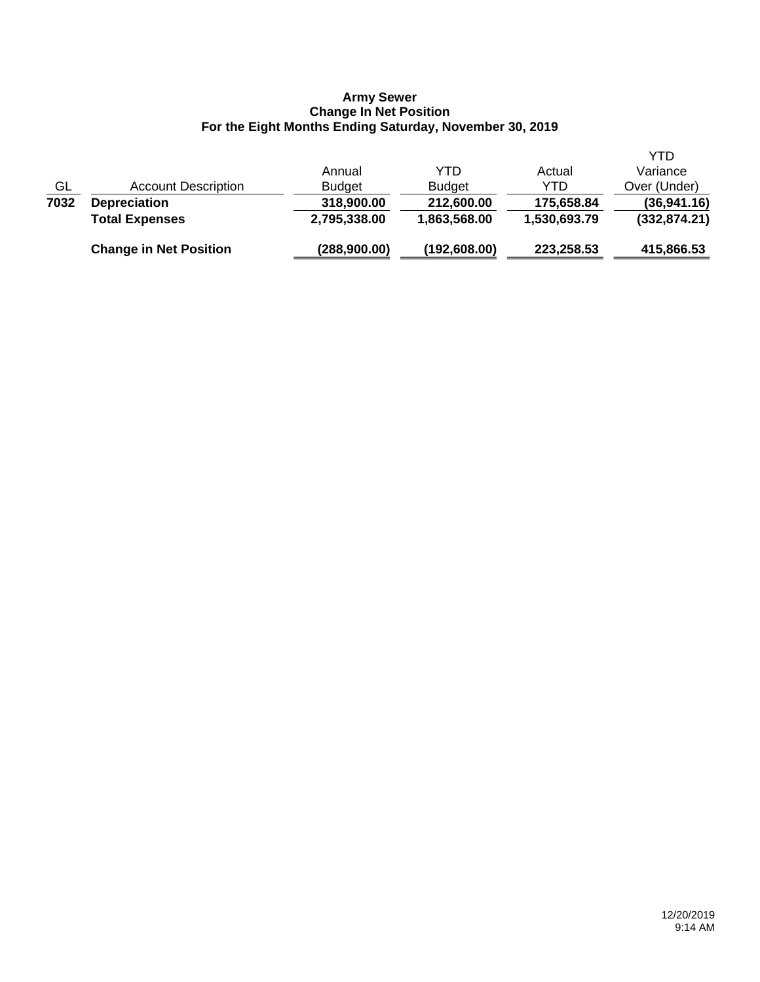#### **Army Sewer Change In Net Position For the Eight Months Ending Saturday, November 30, 2019**

|           | <b>Change in Net Position</b> | (288,900.00)  | (192, 608.00) | 223,258.53   | 415,866.53    |
|-----------|-------------------------------|---------------|---------------|--------------|---------------|
|           | <b>Total Expenses</b>         | 2,795,338.00  | 1,863,568.00  | 1,530,693.79 | (332, 874.21) |
| 7032      | <b>Depreciation</b>           | 318,900.00    | 212,600.00    | 175,658.84   | (36, 941.16)  |
| <u>GL</u> | <b>Account Description</b>    | <b>Budget</b> | <b>Budget</b> | YTD          | Over (Under)  |
|           |                               | Annual        | YTD           | Actual       | Variance      |
|           |                               |               |               |              | YTD           |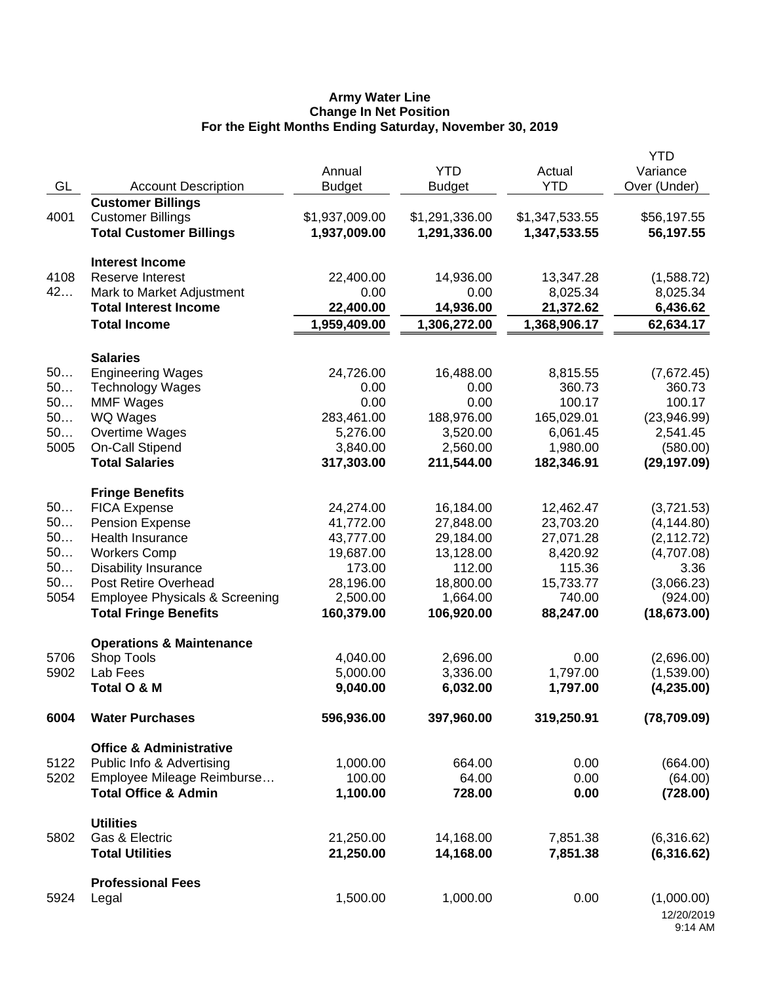#### **Army Water Line Change In Net Position For the Eight Months Ending Saturday, November 30, 2019**

|      |                                           |                |                |                | <b>YTD</b>   |
|------|-------------------------------------------|----------------|----------------|----------------|--------------|
|      |                                           | Annual         | <b>YTD</b>     | Actual         | Variance     |
| GL   | <b>Account Description</b>                | <b>Budget</b>  | <b>Budget</b>  | <b>YTD</b>     | Over (Under) |
|      | <b>Customer Billings</b>                  |                |                |                |              |
| 4001 | <b>Customer Billings</b>                  | \$1,937,009.00 | \$1,291,336.00 | \$1,347,533.55 | \$56,197.55  |
|      | <b>Total Customer Billings</b>            | 1,937,009.00   | 1,291,336.00   | 1,347,533.55   | 56,197.55    |
|      |                                           |                |                |                |              |
|      | <b>Interest Income</b>                    |                |                |                |              |
| 4108 | <b>Reserve Interest</b>                   | 22,400.00      | 14,936.00      | 13,347.28      | (1,588.72)   |
| 42   | Mark to Market Adjustment                 | 0.00           | 0.00           | 8,025.34       | 8,025.34     |
|      | <b>Total Interest Income</b>              | 22,400.00      | 14,936.00      | 21,372.62      | 6,436.62     |
|      | <b>Total Income</b>                       | 1,959,409.00   | 1,306,272.00   | 1,368,906.17   | 62,634.17    |
|      | <b>Salaries</b>                           |                |                |                |              |
| 50   | <b>Engineering Wages</b>                  | 24,726.00      | 16,488.00      | 8,815.55       | (7,672.45)   |
| 50   | <b>Technology Wages</b>                   | 0.00           | 0.00           | 360.73         | 360.73       |
| 50   | <b>MMF Wages</b>                          | 0.00           | 0.00           | 100.17         | 100.17       |
| 50   | <b>WQ Wages</b>                           | 283,461.00     | 188,976.00     | 165,029.01     | (23,946.99)  |
| 50   | Overtime Wages                            | 5,276.00       | 3,520.00       | 6,061.45       | 2,541.45     |
| 5005 | On-Call Stipend                           | 3,840.00       | 2,560.00       | 1,980.00       | (580.00)     |
|      | <b>Total Salaries</b>                     | 317,303.00     | 211,544.00     | 182,346.91     | (29, 197.09) |
|      |                                           |                |                |                |              |
|      | <b>Fringe Benefits</b>                    |                |                |                |              |
| 50   | <b>FICA Expense</b>                       | 24,274.00      | 16,184.00      | 12,462.47      | (3,721.53)   |
| 50   | <b>Pension Expense</b>                    | 41,772.00      | 27,848.00      | 23,703.20      | (4, 144.80)  |
| 50   | Health Insurance                          | 43,777.00      | 29,184.00      | 27,071.28      | (2, 112.72)  |
| 50   | <b>Workers Comp</b>                       | 19,687.00      | 13,128.00      | 8,420.92       | (4,707.08)   |
| 50   | <b>Disability Insurance</b>               | 173.00         | 112.00         | 115.36         | 3.36         |
| 50   | Post Retire Overhead                      | 28,196.00      | 18,800.00      | 15,733.77      | (3,066.23)   |
| 5054 | <b>Employee Physicals &amp; Screening</b> | 2,500.00       | 1,664.00       | 740.00         | (924.00)     |
|      | <b>Total Fringe Benefits</b>              | 160,379.00     | 106,920.00     | 88,247.00      | (18, 673.00) |
|      |                                           |                |                |                |              |
|      | <b>Operations &amp; Maintenance</b>       |                |                |                |              |
| 5706 | Shop Tools                                | 4,040.00       | 2,696.00       | 0.00           | (2,696.00)   |
| 5902 | Lab Fees                                  | 5,000.00       | 3,336.00       | 1,797.00       | (1,539.00)   |
|      | Total O & M                               | 9,040.00       | 6,032.00       | 1,797.00       | (4, 235.00)  |
| 6004 | <b>Water Purchases</b>                    | 596,936.00     | 397,960.00     | 319,250.91     | (78, 709.09) |
|      | <b>Office &amp; Administrative</b>        |                |                |                |              |
| 5122 | Public Info & Advertising                 | 1,000.00       | 664.00         | 0.00           | (664.00)     |
| 5202 | Employee Mileage Reimburse                | 100.00         | 64.00          | 0.00           | (64.00)      |
|      | <b>Total Office &amp; Admin</b>           | 1,100.00       | 728.00         | 0.00           | (728.00)     |
|      |                                           |                |                |                |              |
|      | <b>Utilities</b>                          |                |                |                |              |
| 5802 | Gas & Electric                            | 21,250.00      | 14,168.00      | 7,851.38       | (6,316.62)   |
|      | <b>Total Utilities</b>                    | 21,250.00      | 14,168.00      | 7,851.38       | (6,316.62)   |
|      | <b>Professional Fees</b>                  |                |                |                |              |
| 5924 | Legal                                     | 1,500.00       | 1,000.00       | 0.00           | (1,000.00)   |
|      |                                           |                |                |                | 12/20/2019   |
|      |                                           |                |                |                | 9:14 AM      |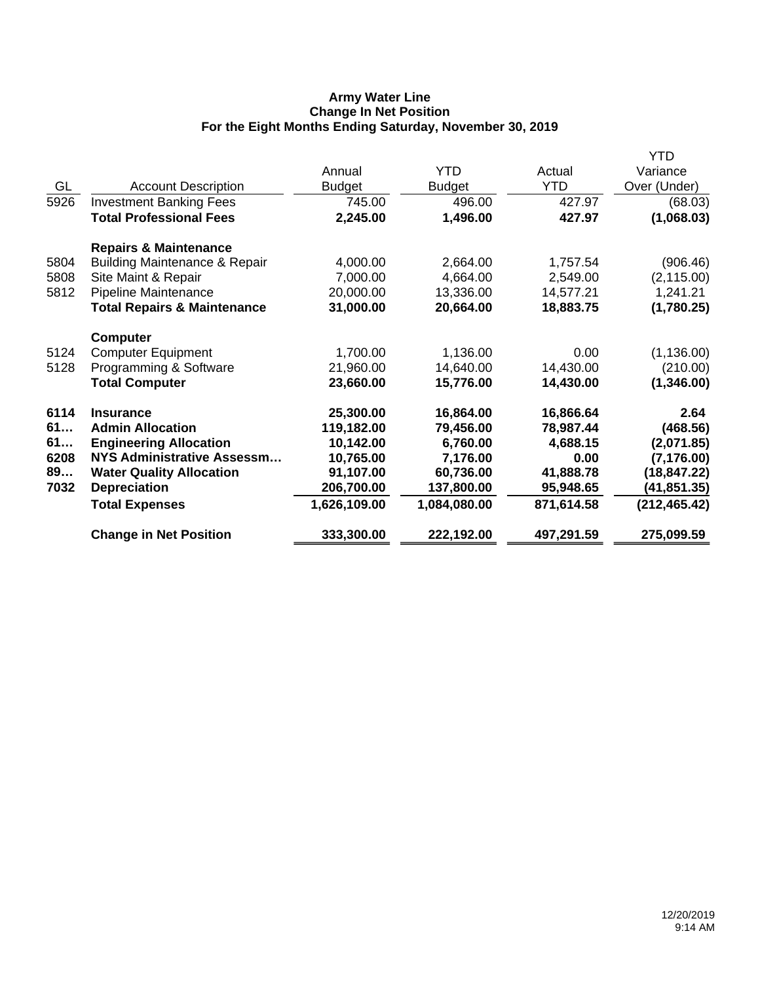## **Army Water Line Change In Net Position For the Eight Months Ending Saturday, November 30, 2019**

|      |                                          |               |               |            | <b>YTD</b>    |
|------|------------------------------------------|---------------|---------------|------------|---------------|
|      |                                          | Annual        | <b>YTD</b>    | Actual     | Variance      |
| GL   | <b>Account Description</b>               | <b>Budget</b> | <b>Budget</b> | <b>YTD</b> | Over (Under)  |
| 5926 | <b>Investment Banking Fees</b>           | 745.00        | 496.00        | 427.97     | (68.03)       |
|      | <b>Total Professional Fees</b>           | 2,245.00      | 1,496.00      | 427.97     | (1,068.03)    |
|      | <b>Repairs &amp; Maintenance</b>         |               |               |            |               |
| 5804 | <b>Building Maintenance &amp; Repair</b> | 4,000.00      | 2,664.00      | 1,757.54   | (906.46)      |
| 5808 | Site Maint & Repair                      | 7,000.00      | 4,664.00      | 2,549.00   | (2, 115.00)   |
| 5812 | Pipeline Maintenance                     | 20,000.00     | 13,336.00     | 14,577.21  | 1,241.21      |
|      | <b>Total Repairs &amp; Maintenance</b>   | 31,000.00     | 20,664.00     | 18,883.75  | (1,780.25)    |
|      | <b>Computer</b>                          |               |               |            |               |
| 5124 | <b>Computer Equipment</b>                | 1,700.00      | 1,136.00      | 0.00       | (1, 136.00)   |
| 5128 | Programming & Software                   | 21,960.00     | 14,640.00     | 14,430.00  | (210.00)      |
|      | <b>Total Computer</b>                    | 23,660.00     | 15,776.00     | 14,430.00  | (1,346.00)    |
| 6114 | <b>Insurance</b>                         | 25,300.00     | 16,864.00     | 16,866.64  | 2.64          |
| 61   | <b>Admin Allocation</b>                  | 119,182.00    | 79,456.00     | 78,987.44  | (468.56)      |
| 61   | <b>Engineering Allocation</b>            | 10,142.00     | 6,760.00      | 4,688.15   | (2,071.85)    |
| 6208 | <b>NYS Administrative Assessm</b>        | 10,765.00     | 7,176.00      | 0.00       | (7, 176.00)   |
| 89   | <b>Water Quality Allocation</b>          | 91,107.00     | 60,736.00     | 41,888.78  | (18, 847.22)  |
| 7032 | <b>Depreciation</b>                      | 206,700.00    | 137,800.00    | 95,948.65  | (41, 851.35)  |
|      | <b>Total Expenses</b>                    | 1,626,109.00  | 1,084,080.00  | 871,614.58 | (212, 465.42) |
|      | <b>Change in Net Position</b>            | 333,300.00    | 222,192.00    | 497,291.59 | 275,099.59    |
|      |                                          |               |               |            |               |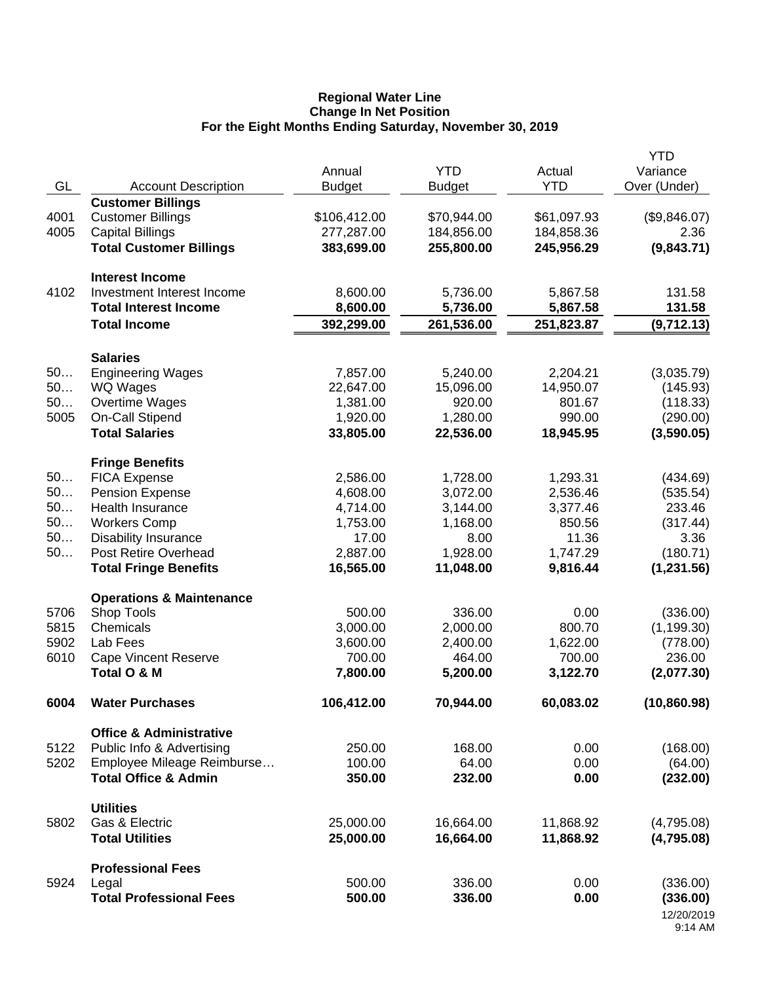#### **Regional Water Line Change In Net Position For the Eight Months Ending Saturday, November 30, 2019**

|              |                                                                 | Annual             | <b>YTD</b>         | Actual             | <b>YTD</b><br>Variance |
|--------------|-----------------------------------------------------------------|--------------------|--------------------|--------------------|------------------------|
| GL           | <b>Account Description</b>                                      | <b>Budget</b>      | <b>Budget</b>      | <b>YTD</b>         | Over (Under)           |
|              | <b>Customer Billings</b>                                        |                    |                    |                    |                        |
| 4001         | <b>Customer Billings</b>                                        | \$106,412.00       | \$70,944.00        | \$61,097.93        | (\$9,846.07)           |
| 4005         | <b>Capital Billings</b>                                         | 277,287.00         | 184,856.00         | 184,858.36         | 2.36                   |
|              | <b>Total Customer Billings</b>                                  | 383,699.00         | 255,800.00         | 245,956.29         | (9,843.71)             |
|              | <b>Interest Income</b>                                          |                    |                    |                    |                        |
| 4102         | Investment Interest Income                                      | 8,600.00           | 5,736.00           | 5,867.58           | 131.58                 |
|              | <b>Total Interest Income</b>                                    | 8,600.00           | 5,736.00           | 5,867.58           | 131.58                 |
|              | <b>Total Income</b>                                             | 392,299.00         | 261,536.00         | 251,823.87         | (9,712.13)             |
|              | <b>Salaries</b>                                                 |                    |                    |                    |                        |
| 50           | <b>Engineering Wages</b>                                        | 7,857.00           | 5,240.00           | 2,204.21           | (3,035.79)             |
| 50           | WQ Wages                                                        | 22,647.00          | 15,096.00          | 14,950.07          | (145.93)               |
| 50           | Overtime Wages                                                  | 1,381.00           | 920.00             | 801.67             | (118.33)               |
| 5005         | On-Call Stipend                                                 | 1,920.00           | 1,280.00           | 990.00             | (290.00)               |
|              | <b>Total Salaries</b>                                           | 33,805.00          | 22,536.00          | 18,945.95          | (3,590.05)             |
|              | <b>Fringe Benefits</b>                                          |                    |                    |                    |                        |
| 50           | <b>FICA Expense</b>                                             | 2,586.00           | 1,728.00           | 1,293.31           | (434.69)               |
| 50           | <b>Pension Expense</b>                                          | 4,608.00           | 3,072.00           | 2,536.46           | (535.54)               |
| 50           | <b>Health Insurance</b>                                         | 4,714.00           | 3,144.00           | 3,377.46           | 233.46                 |
| 50           | <b>Workers Comp</b>                                             | 1,753.00           | 1,168.00           | 850.56             | (317.44)               |
| 50           | <b>Disability Insurance</b>                                     | 17.00              | 8.00               | 11.36              | 3.36                   |
| 50           | Post Retire Overhead                                            | 2,887.00           | 1,928.00           | 1,747.29           | (180.71)               |
|              | <b>Total Fringe Benefits</b>                                    | 16,565.00          | 11,048.00          | 9,816.44           | (1,231.56)             |
|              | <b>Operations &amp; Maintenance</b>                             |                    |                    |                    |                        |
| 5706         | Shop Tools                                                      | 500.00             | 336.00             | 0.00               | (336.00)               |
| 5815<br>5902 | Chemicals                                                       | 3,000.00           | 2,000.00           | 800.70             | (1, 199.30)            |
| 6010         | Lab Fees<br><b>Cape Vincent Reserve</b>                         | 3,600.00<br>700.00 | 2,400.00<br>464.00 | 1,622.00<br>700.00 | (778.00)<br>236.00     |
|              | Total O & M                                                     | 7,800.00           | 5,200.00           | 3,122.70           | (2,077.30)             |
| 6004         | <b>Water Purchases</b>                                          | 106,412.00         | 70,944.00          | 60,083.02          | (10, 860.98)           |
|              |                                                                 |                    |                    |                    |                        |
| 5122         | <b>Office &amp; Administrative</b><br>Public Info & Advertising | 250.00             | 168.00             | 0.00               | (168.00)               |
| 5202         | Employee Mileage Reimburse                                      | 100.00             | 64.00              | 0.00               | (64.00)                |
|              | <b>Total Office &amp; Admin</b>                                 | 350.00             | 232.00             | 0.00               | (232.00)               |
|              | <b>Utilities</b>                                                |                    |                    |                    |                        |
| 5802         | Gas & Electric                                                  | 25,000.00          | 16,664.00          | 11,868.92          | (4,795.08)             |
|              | <b>Total Utilities</b>                                          | 25,000.00          | 16,664.00          | 11,868.92          | (4,795.08)             |
|              | <b>Professional Fees</b>                                        |                    |                    |                    |                        |
| 5924         | Legal                                                           | 500.00             | 336.00             | 0.00               | (336.00)               |
|              | <b>Total Professional Fees</b>                                  | 500.00             | 336.00             | 0.00               | (336.00)               |
|              |                                                                 |                    |                    |                    | 12/20/2019<br>9:14 AM  |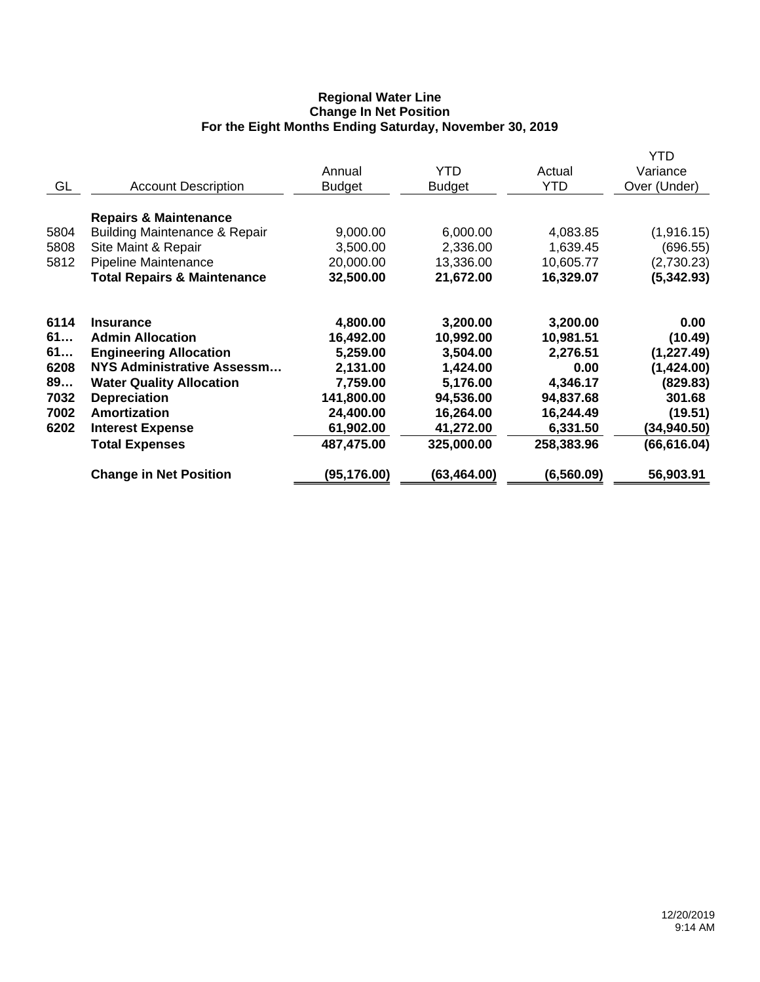## **Regional Water Line Change In Net Position For the Eight Months Ending Saturday, November 30, 2019**

|      |                                          |               |               |             | <b>YTD</b>   |
|------|------------------------------------------|---------------|---------------|-------------|--------------|
|      |                                          | Annual        | YTD           | Actual      | Variance     |
| GL   | <b>Account Description</b>               | <b>Budget</b> | <b>Budget</b> | <b>YTD</b>  | Over (Under) |
|      | <b>Repairs &amp; Maintenance</b>         |               |               |             |              |
| 5804 | <b>Building Maintenance &amp; Repair</b> | 9,000.00      | 6,000.00      | 4,083.85    | (1,916.15)   |
| 5808 | Site Maint & Repair                      | 3,500.00      | 2,336.00      | 1,639.45    | (696.55)     |
| 5812 | Pipeline Maintenance                     | 20,000.00     | 13,336.00     | 10,605.77   | (2,730.23)   |
|      | <b>Total Repairs &amp; Maintenance</b>   | 32,500.00     | 21,672.00     | 16,329.07   | (5, 342.93)  |
| 6114 | <b>Insurance</b>                         | 4,800.00      | 3,200.00      | 3,200.00    | 0.00         |
| 61   | <b>Admin Allocation</b>                  | 16,492.00     | 10,992.00     | 10,981.51   | (10.49)      |
| 61   | <b>Engineering Allocation</b>            | 5,259.00      | 3,504.00      | 2,276.51    | (1, 227.49)  |
| 6208 | <b>NYS Administrative Assessm</b>        | 2,131.00      | 1,424.00      | 0.00        | (1,424.00)   |
| 89   | <b>Water Quality Allocation</b>          | 7,759.00      | 5,176.00      | 4,346.17    | (829.83)     |
| 7032 | <b>Depreciation</b>                      | 141,800.00    | 94,536.00     | 94,837.68   | 301.68       |
| 7002 | Amortization                             | 24,400.00     | 16,264.00     | 16,244.49   | (19.51)      |
| 6202 | <b>Interest Expense</b>                  | 61,902.00     | 41,272.00     | 6,331.50    | (34, 940.50) |
|      | <b>Total Expenses</b>                    | 487,475.00    | 325,000.00    | 258,383.96  | (66, 616.04) |
|      | <b>Change in Net Position</b>            | (95,176.00)   | (63,464.00)   | (6, 560.09) | 56,903.91    |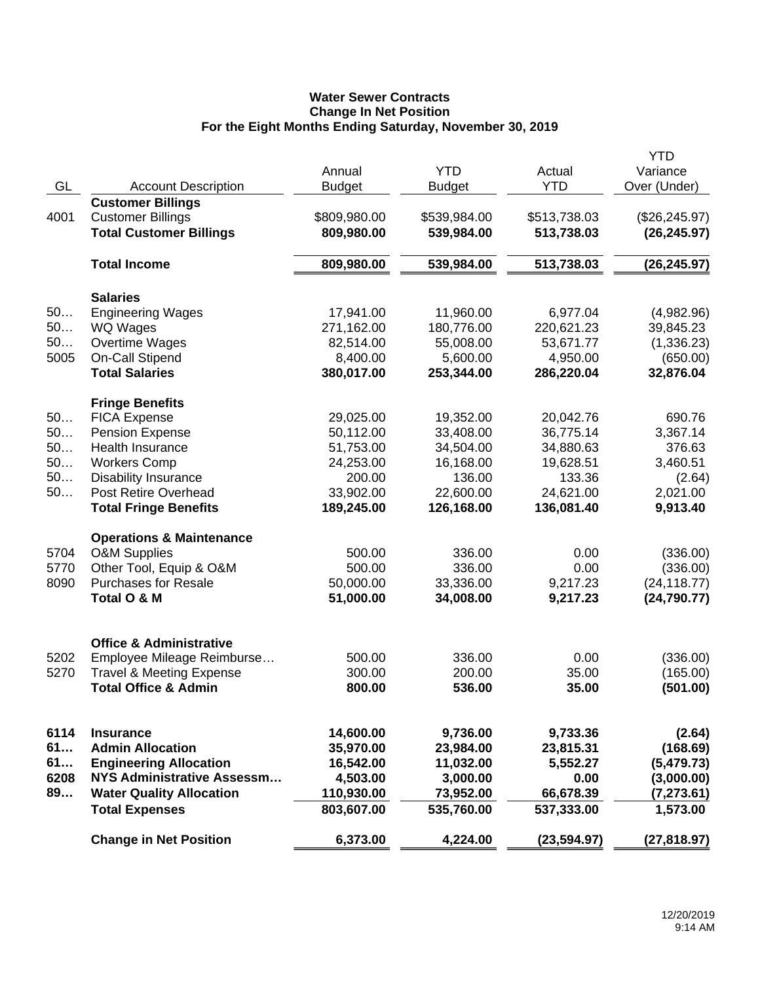# **Water Sewer Contracts Change In Net Position For the Eight Months Ending Saturday, November 30, 2019**

|      |                                          |               |               |              | <b>YTD</b>     |
|------|------------------------------------------|---------------|---------------|--------------|----------------|
|      |                                          | Annual        | <b>YTD</b>    | Actual       | Variance       |
| GL   | <b>Account Description</b>               | <b>Budget</b> | <b>Budget</b> | <b>YTD</b>   | Over (Under)   |
|      | <b>Customer Billings</b>                 |               |               |              |                |
| 4001 | <b>Customer Billings</b>                 | \$809,980.00  | \$539,984.00  | \$513,738.03 | (\$26, 245.97) |
|      | <b>Total Customer Billings</b>           | 809,980.00    | 539,984.00    | 513,738.03   | (26, 245.97)   |
|      |                                          |               |               |              |                |
|      | <b>Total Income</b>                      | 809,980.00    | 539,984.00    | 513,738.03   | (26, 245.97)   |
|      |                                          |               |               |              |                |
|      | <b>Salaries</b>                          |               |               |              |                |
| 50   | <b>Engineering Wages</b>                 | 17,941.00     | 11,960.00     | 6,977.04     | (4,982.96)     |
| 50   | <b>WQ Wages</b>                          | 271,162.00    | 180,776.00    | 220,621.23   | 39,845.23      |
| 50   | Overtime Wages                           | 82,514.00     | 55,008.00     | 53,671.77    | (1,336.23)     |
| 5005 |                                          | 8,400.00      | 5,600.00      | 4,950.00     |                |
|      | On-Call Stipend<br><b>Total Salaries</b> |               |               |              | (650.00)       |
|      |                                          | 380,017.00    | 253,344.00    | 286,220.04   | 32,876.04      |
|      | <b>Fringe Benefits</b>                   |               |               |              |                |
| 50   | <b>FICA Expense</b>                      | 29,025.00     | 19,352.00     | 20,042.76    | 690.76         |
| 50   | <b>Pension Expense</b>                   | 50,112.00     | 33,408.00     | 36,775.14    | 3,367.14       |
| 50   | <b>Health Insurance</b>                  | 51,753.00     | 34,504.00     | 34,880.63    | 376.63         |
| 50   |                                          |               |               | 19,628.51    |                |
|      | <b>Workers Comp</b>                      | 24,253.00     | 16,168.00     |              | 3,460.51       |
| 50   | <b>Disability Insurance</b>              | 200.00        | 136.00        | 133.36       | (2.64)         |
| 50   | <b>Post Retire Overhead</b>              | 33,902.00     | 22,600.00     | 24,621.00    | 2,021.00       |
|      | <b>Total Fringe Benefits</b>             | 189,245.00    | 126,168.00    | 136,081.40   | 9,913.40       |
|      | <b>Operations &amp; Maintenance</b>      |               |               |              |                |
| 5704 | <b>O&amp;M Supplies</b>                  | 500.00        | 336.00        | 0.00         | (336.00)       |
| 5770 | Other Tool, Equip & O&M                  | 500.00        | 336.00        | 0.00         | (336.00)       |
| 8090 | <b>Purchases for Resale</b>              | 50,000.00     | 33,336.00     | 9,217.23     | (24, 118.77)   |
|      | Total O & M                              | 51,000.00     | 34,008.00     | 9,217.23     | (24, 790.77)   |
|      |                                          |               |               |              |                |
|      |                                          |               |               |              |                |
|      | <b>Office &amp; Administrative</b>       |               |               |              |                |
| 5202 | Employee Mileage Reimburse               | 500.00        | 336.00        | 0.00         | (336.00)       |
| 5270 | <b>Travel &amp; Meeting Expense</b>      | 300.00        | 200.00        | 35.00        | (165.00)       |
|      | <b>Total Office &amp; Admin</b>          | 800.00        | 536.00        | 35.00        | (501.00)       |
|      |                                          |               |               |              |                |
|      |                                          |               |               |              |                |
| 6114 | <b>Insurance</b>                         | 14,600.00     | 9,736.00      | 9,733.36     | (2.64)         |
| 61   | <b>Admin Allocation</b>                  | 35,970.00     | 23,984.00     | 23,815.31    | (168.69)       |
| 61   | <b>Engineering Allocation</b>            | 16,542.00     | 11,032.00     | 5,552.27     | (5,479.73)     |
| 6208 | <b>NYS Administrative Assessm</b>        | 4,503.00      | 3,000.00      | 0.00         | (3,000.00)     |
| 89   | <b>Water Quality Allocation</b>          | 110,930.00    | 73,952.00     | 66,678.39    | (7, 273.61)    |
|      | <b>Total Expenses</b>                    | 803,607.00    | 535,760.00    | 537,333.00   | 1,573.00       |
|      | <b>Change in Net Position</b>            | 6,373.00      | 4,224.00      | (23, 594.97) | (27, 818.97)   |
|      |                                          |               |               |              |                |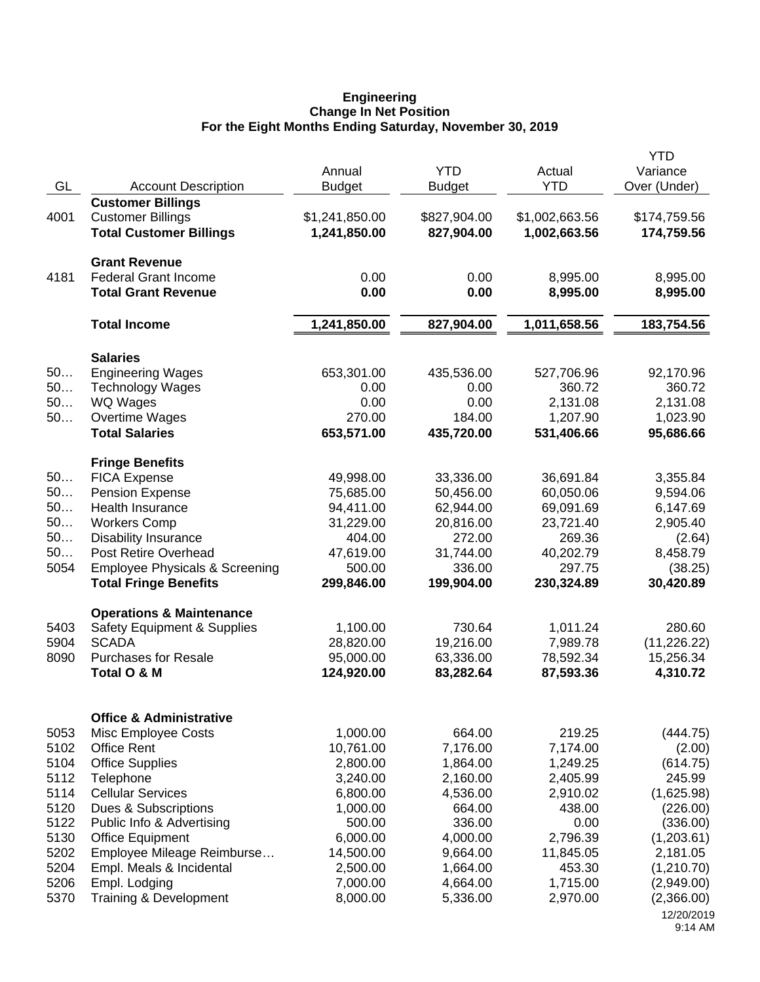#### **Engineering Change In Net Position For the Eight Months Ending Saturday, November 30, 2019**

|      |                                           |                |               |                | <b>YTD</b>   |
|------|-------------------------------------------|----------------|---------------|----------------|--------------|
|      |                                           | Annual         | <b>YTD</b>    | Actual         | Variance     |
| GL   | <b>Account Description</b>                | <b>Budget</b>  | <b>Budget</b> | <b>YTD</b>     | Over (Under) |
|      | <b>Customer Billings</b>                  |                |               |                |              |
| 4001 | <b>Customer Billings</b>                  | \$1,241,850.00 | \$827,904.00  | \$1,002,663.56 | \$174,759.56 |
|      | <b>Total Customer Billings</b>            | 1,241,850.00   | 827,904.00    | 1,002,663.56   | 174,759.56   |
|      |                                           |                |               |                |              |
|      | <b>Grant Revenue</b>                      |                |               |                |              |
| 4181 | <b>Federal Grant Income</b>               | 0.00           | 0.00          | 8,995.00       | 8,995.00     |
|      | <b>Total Grant Revenue</b>                | 0.00           | 0.00          | 8,995.00       | 8,995.00     |
|      | <b>Total Income</b>                       | 1,241,850.00   | 827,904.00    | 1,011,658.56   | 183,754.56   |
|      |                                           |                |               |                |              |
|      | <b>Salaries</b>                           |                |               |                |              |
| 50   | <b>Engineering Wages</b>                  | 653,301.00     | 435,536.00    | 527,706.96     | 92,170.96    |
| 50   | <b>Technology Wages</b>                   | 0.00           | 0.00          | 360.72         | 360.72       |
| 50   | WQ Wages                                  | 0.00           | 0.00          | 2,131.08       | 2,131.08     |
| 50   | Overtime Wages                            | 270.00         | 184.00        | 1,207.90       | 1,023.90     |
|      | <b>Total Salaries</b>                     | 653,571.00     | 435,720.00    | 531,406.66     | 95,686.66    |
|      |                                           |                |               |                |              |
| 50   | <b>Fringe Benefits</b>                    |                |               |                |              |
| 50   | <b>FICA Expense</b>                       | 49,998.00      | 33,336.00     | 36,691.84      | 3,355.84     |
|      | <b>Pension Expense</b>                    | 75,685.00      | 50,456.00     | 60,050.06      | 9,594.06     |
| 50   | <b>Health Insurance</b>                   | 94,411.00      | 62,944.00     | 69,091.69      | 6,147.69     |
| 50   | <b>Workers Comp</b>                       | 31,229.00      | 20,816.00     | 23,721.40      | 2,905.40     |
| 50   | <b>Disability Insurance</b>               | 404.00         | 272.00        | 269.36         | (2.64)       |
| 50   | <b>Post Retire Overhead</b>               | 47,619.00      | 31,744.00     | 40,202.79      | 8,458.79     |
| 5054 | <b>Employee Physicals &amp; Screening</b> | 500.00         | 336.00        | 297.75         | (38.25)      |
|      | <b>Total Fringe Benefits</b>              | 299,846.00     | 199,904.00    | 230,324.89     | 30,420.89    |
|      | <b>Operations &amp; Maintenance</b>       |                |               |                |              |
| 5403 | Safety Equipment & Supplies               | 1,100.00       | 730.64        | 1,011.24       | 280.60       |
| 5904 | <b>SCADA</b>                              | 28,820.00      | 19,216.00     | 7,989.78       | (11, 226.22) |
| 8090 | <b>Purchases for Resale</b>               | 95,000.00      | 63,336.00     | 78,592.34      | 15,256.34    |
|      | Total O & M                               | 124,920.00     | 83,282.64     | 87,593.36      | 4,310.72     |
|      |                                           |                |               |                |              |
|      | <b>Office &amp; Administrative</b>        |                |               |                |              |
| 5053 | Misc Employee Costs                       | 1,000.00       | 664.00        | 219.25         | (444.75)     |
| 5102 | <b>Office Rent</b>                        | 10,761.00      | 7,176.00      | 7,174.00       | (2.00)       |
| 5104 | <b>Office Supplies</b>                    | 2,800.00       | 1,864.00      | 1,249.25       | (614.75)     |
| 5112 | Telephone                                 | 3,240.00       | 2,160.00      | 2,405.99       | 245.99       |
| 5114 | <b>Cellular Services</b>                  | 6,800.00       | 4,536.00      | 2,910.02       | (1,625.98)   |
| 5120 | Dues & Subscriptions                      | 1,000.00       | 664.00        | 438.00         | (226.00)     |
| 5122 | Public Info & Advertising                 | 500.00         | 336.00        | 0.00           | (336.00)     |
| 5130 | <b>Office Equipment</b>                   | 6,000.00       | 4,000.00      | 2,796.39       | (1,203.61)   |
| 5202 | Employee Mileage Reimburse                | 14,500.00      | 9,664.00      | 11,845.05      | 2,181.05     |
| 5204 | Empl. Meals & Incidental                  | 2,500.00       | 1,664.00      | 453.30         | (1,210.70)   |
| 5206 | Empl. Lodging                             | 7,000.00       | 4,664.00      | 1,715.00       | (2,949.00)   |
| 5370 | Training & Development                    | 8,000.00       | 5,336.00      | 2,970.00       | (2,366.00)   |
|      |                                           |                |               |                | 12/20/2019   |
|      |                                           |                |               |                | 9:14 AM      |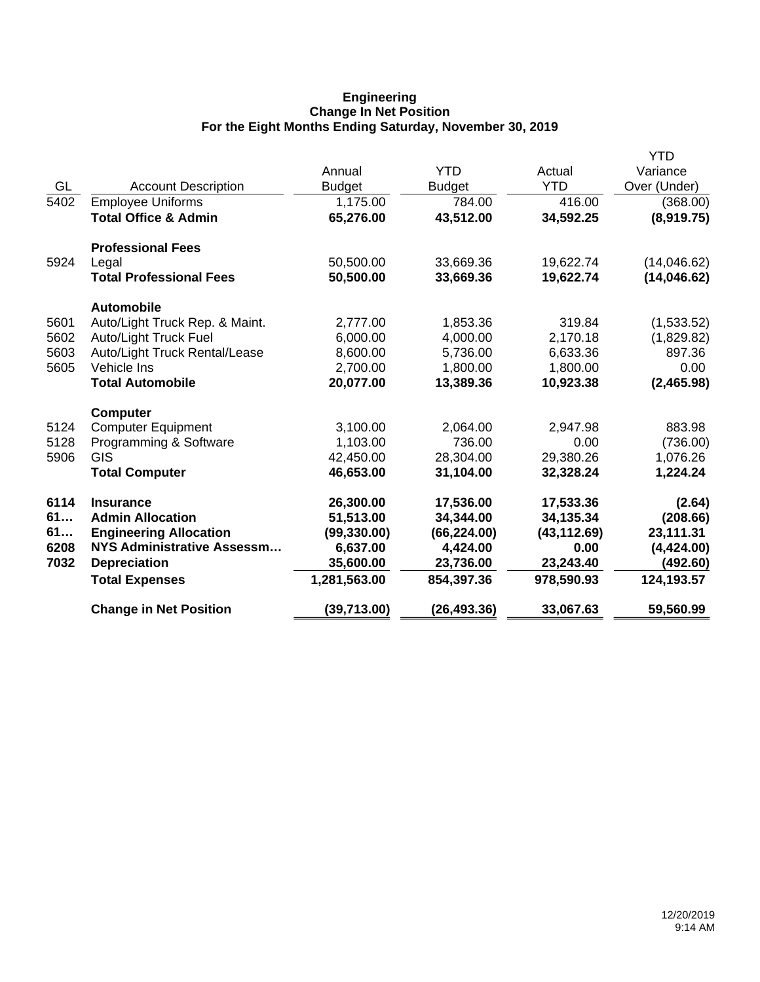## **Engineering Change In Net Position For the Eight Months Ending Saturday, November 30, 2019**

|      |                                   |               |               |              | YTD          |
|------|-----------------------------------|---------------|---------------|--------------|--------------|
|      |                                   | Annual        | <b>YTD</b>    | Actual       | Variance     |
| GL   | <b>Account Description</b>        | <b>Budget</b> | <b>Budget</b> | <b>YTD</b>   | Over (Under) |
| 5402 | <b>Employee Uniforms</b>          | 1,175.00      | 784.00        | 416.00       | (368.00)     |
|      | <b>Total Office &amp; Admin</b>   | 65,276.00     | 43,512.00     | 34,592.25    | (8,919.75)   |
|      | <b>Professional Fees</b>          |               |               |              |              |
| 5924 | Legal                             | 50,500.00     | 33,669.36     | 19,622.74    | (14,046.62)  |
|      | <b>Total Professional Fees</b>    | 50,500.00     | 33,669.36     | 19,622.74    | (14, 046.62) |
|      | <b>Automobile</b>                 |               |               |              |              |
| 5601 | Auto/Light Truck Rep. & Maint.    | 2,777.00      | 1,853.36      | 319.84       | (1,533.52)   |
| 5602 | Auto/Light Truck Fuel             | 6,000.00      | 4,000.00      | 2,170.18     | (1,829.82)   |
| 5603 | Auto/Light Truck Rental/Lease     | 8,600.00      | 5,736.00      | 6,633.36     | 897.36       |
| 5605 | Vehicle Ins                       | 2,700.00      | 1,800.00      | 1,800.00     | 0.00         |
|      | <b>Total Automobile</b>           | 20,077.00     | 13,389.36     | 10,923.38    | (2,465.98)   |
|      | <b>Computer</b>                   |               |               |              |              |
| 5124 | <b>Computer Equipment</b>         | 3,100.00      | 2,064.00      | 2,947.98     | 883.98       |
| 5128 | Programming & Software            | 1,103.00      | 736.00        | 0.00         | (736.00)     |
| 5906 | <b>GIS</b>                        | 42,450.00     | 28,304.00     | 29,380.26    | 1,076.26     |
|      | <b>Total Computer</b>             | 46,653.00     | 31,104.00     | 32,328.24    | 1,224.24     |
| 6114 | <b>Insurance</b>                  | 26,300.00     | 17,536.00     | 17,533.36    | (2.64)       |
| 61   | <b>Admin Allocation</b>           | 51,513.00     | 34,344.00     | 34,135.34    | (208.66)     |
| 61   | <b>Engineering Allocation</b>     | (99, 330.00)  | (66, 224.00)  | (43, 112.69) | 23,111.31    |
| 6208 | <b>NYS Administrative Assessm</b> | 6,637.00      | 4,424.00      | 0.00         | (4,424.00)   |
| 7032 | <b>Depreciation</b>               | 35,600.00     | 23,736.00     | 23,243.40    | (492.60)     |
|      | <b>Total Expenses</b>             | 1,281,563.00  | 854,397.36    | 978,590.93   | 124,193.57   |
|      | <b>Change in Net Position</b>     | (39, 713.00)  | (26, 493.36)  | 33,067.63    | 59,560.99    |
|      |                                   |               |               |              |              |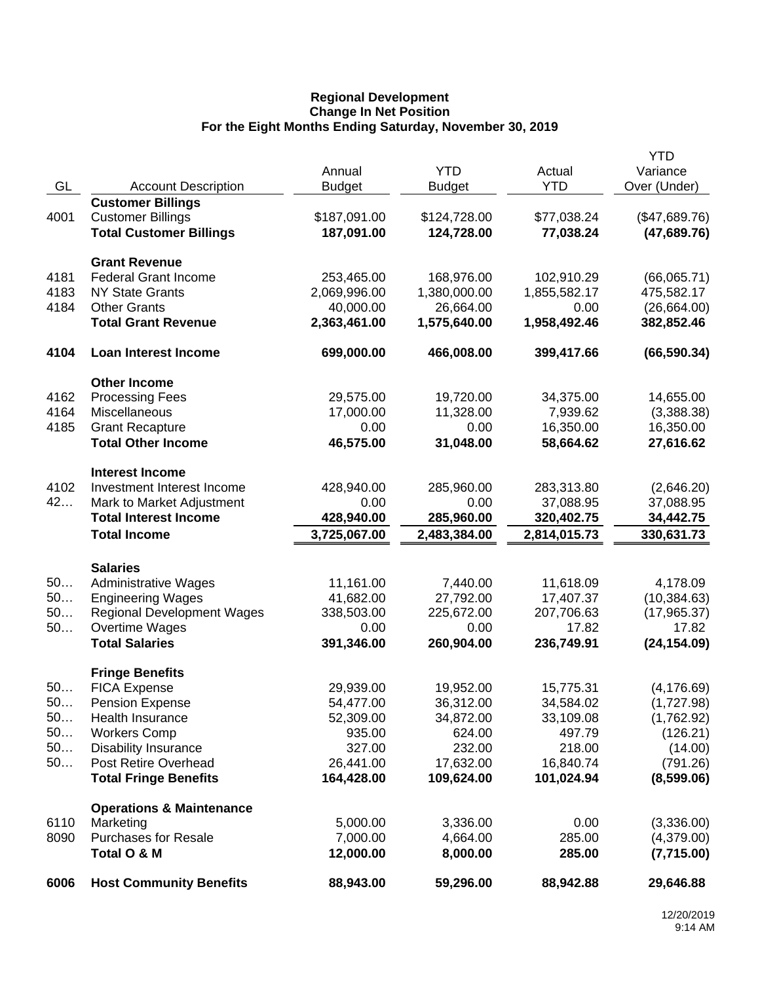## **Regional Development Change In Net Position For the Eight Months Ending Saturday, November 30, 2019**

|      |                                                         |                            |                       |                        | <b>YTD</b>                   |
|------|---------------------------------------------------------|----------------------------|-----------------------|------------------------|------------------------------|
|      |                                                         | Annual                     | <b>YTD</b>            | Actual                 | Variance                     |
| GL   | <b>Account Description</b>                              | <b>Budget</b>              | <b>Budget</b>         | <b>YTD</b>             | Over (Under)                 |
|      | <b>Customer Billings</b>                                |                            |                       |                        |                              |
| 4001 | <b>Customer Billings</b>                                | \$187,091.00<br>187,091.00 | \$124,728.00          | \$77,038.24            | (\$47,689.76)<br>(47,689.76) |
|      | <b>Total Customer Billings</b>                          |                            | 124,728.00            | 77,038.24              |                              |
|      | <b>Grant Revenue</b>                                    |                            |                       |                        |                              |
| 4181 | <b>Federal Grant Income</b>                             | 253,465.00                 | 168,976.00            | 102,910.29             | (66,065.71)                  |
| 4183 | <b>NY State Grants</b>                                  | 2,069,996.00               | 1,380,000.00          | 1,855,582.17           | 475,582.17                   |
| 4184 | <b>Other Grants</b>                                     | 40,000.00                  | 26,664.00             | 0.00                   | (26,664.00)                  |
|      | <b>Total Grant Revenue</b>                              | 2,363,461.00               | 1,575,640.00          | 1,958,492.46           | 382,852.46                   |
| 4104 | <b>Loan Interest Income</b>                             | 699,000.00                 | 466,008.00            | 399,417.66             | (66, 590.34)                 |
|      | <b>Other Income</b>                                     |                            |                       |                        |                              |
| 4162 | <b>Processing Fees</b>                                  | 29,575.00                  | 19,720.00             | 34,375.00              | 14,655.00                    |
| 4164 | Miscellaneous                                           | 17,000.00                  | 11,328.00             | 7,939.62               | (3,388.38)                   |
| 4185 | <b>Grant Recapture</b>                                  | 0.00                       | 0.00                  | 16,350.00              | 16,350.00                    |
|      | <b>Total Other Income</b>                               | 46,575.00                  | 31,048.00             | 58,664.62              | 27,616.62                    |
|      | <b>Interest Income</b>                                  |                            |                       |                        |                              |
| 4102 | Investment Interest Income                              | 428,940.00                 | 285,960.00            | 283,313.80             | (2,646.20)                   |
| 42   | Mark to Market Adjustment                               | 0.00                       | 0.00                  | 37,088.95              | 37,088.95                    |
|      | <b>Total Interest Income</b>                            | 428,940.00                 | 285,960.00            | 320,402.75             | 34,442.75                    |
|      | <b>Total Income</b>                                     | 3,725,067.00               | 2,483,384.00          | 2,814,015.73           | 330,631.73                   |
|      |                                                         |                            |                       |                        |                              |
| 50   | <b>Salaries</b>                                         |                            |                       |                        |                              |
| 50   | <b>Administrative Wages</b><br><b>Engineering Wages</b> | 11,161.00<br>41,682.00     | 7,440.00<br>27,792.00 | 11,618.09<br>17,407.37 | 4,178.09<br>(10, 384.63)     |
| 50   | <b>Regional Development Wages</b>                       | 338,503.00                 | 225,672.00            | 207,706.63             | (17, 965.37)                 |
| 50   | Overtime Wages                                          | 0.00                       | 0.00                  | 17.82                  | 17.82                        |
|      | <b>Total Salaries</b>                                   | 391,346.00                 | 260,904.00            | 236,749.91             | (24, 154.09)                 |
|      |                                                         |                            |                       |                        |                              |
| 50   | <b>Fringe Benefits</b><br><b>FICA Expense</b>           | 29,939.00                  | 19,952.00             | 15,775.31              | (4, 176.69)                  |
| 50   | <b>Pension Expense</b>                                  | 54,477.00                  | 36,312.00             | 34,584.02              | (1,727.98)                   |
| 50   | Health Insurance                                        | 52,309.00                  | 34,872.00             | 33,109.08              | (1,762.92)                   |
| 50   | <b>Workers Comp</b>                                     | 935.00                     | 624.00                | 497.79                 | (126.21)                     |
| 50   | <b>Disability Insurance</b>                             | 327.00                     | 232.00                | 218.00                 | (14.00)                      |
| 50   | Post Retire Overhead                                    | 26,441.00                  | 17,632.00             | 16,840.74              | (791.26)                     |
|      | <b>Total Fringe Benefits</b>                            | 164,428.00                 | 109,624.00            | 101,024.94             | (8,599.06)                   |
|      | <b>Operations &amp; Maintenance</b>                     |                            |                       |                        |                              |
| 6110 | Marketing                                               | 5,000.00                   | 3,336.00              | 0.00                   | (3,336.00)                   |
| 8090 | <b>Purchases for Resale</b>                             | 7,000.00                   | 4,664.00              | 285.00                 | (4,379.00)                   |
|      | Total O & M                                             | 12,000.00                  | 8,000.00              | 285.00                 | (7,715.00)                   |
| 6006 | <b>Host Community Benefits</b>                          | 88,943.00                  | 59,296.00             | 88,942.88              | 29,646.88                    |
|      |                                                         |                            |                       |                        |                              |